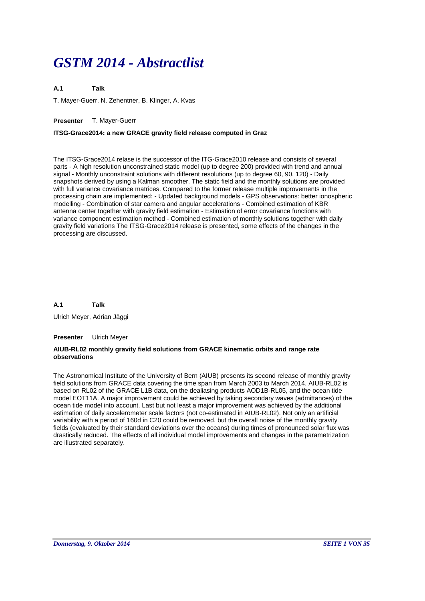# *GSTM 2014 - Abstractlist*

**A.1 Talk**

T. Mayer-Guerr, N. Zehentner, B. Klinger, A. Kvas

# **Presenter** T. Mayer-Guerr

# **ITSG-Grace2014: a new GRACE gravity field release computed in Graz**

The ITSG-Grace2014 relase is the successor of the ITG-Grace2010 release and consists of several parts - A high resolution unconstrained static model (up to degree 200) provided with trend and annual signal - Monthly unconstraint solutions with different resolutions (up to degree 60, 90, 120) - Daily snapshots derived by using a Kalman smoother. The static field and the monthly solutions are provided with full variance covariance matrices. Compared to the former release multiple improvements in the processing chain are implemented: - Updated background models - GPS observations: better ionospheric modelling - Combination of star camera and angular accelerations - Combined estimation of KBR antenna center together with gravity field estimation - Estimation of error covariance functions with variance component estimation method - Combined estimation of monthly solutions together with daily gravity field variations The ITSG-Grace2014 release is presented, some effects of the changes in the processing are discussed.

**A.1 Talk**

Ulrich Meyer, Adrian Jäggi

# **Presenter** Ulrich Meyer

# **AIUB-RL02 monthly gravity field solutions from GRACE kinematic orbits and range rate observations**

The Astronomical Institute of the University of Bern (AIUB) presents its second release of monthly gravity field solutions from GRACE data covering the time span from March 2003 to March 2014. AIUB-RL02 is based on RL02 of the GRACE L1B data, on the dealiasing products AOD1B-RL05, and the ocean tide model EOT11A. A major improvement could be achieved by taking secondary waves (admittances) of the ocean tide model into account. Last but not least a major improvement was achieved by the additional estimation of daily accelerometer scale factors (not co-estimated in AIUB-RL02). Not only an artificial variability with a period of 160d in C20 could be removed, but the overall noise of the monthly gravity fields (evaluated by their standard deviations over the oceans) during times of pronounced solar flux was drastically reduced. The effects of all individual model improvements and changes in the parametrization are illustrated separately.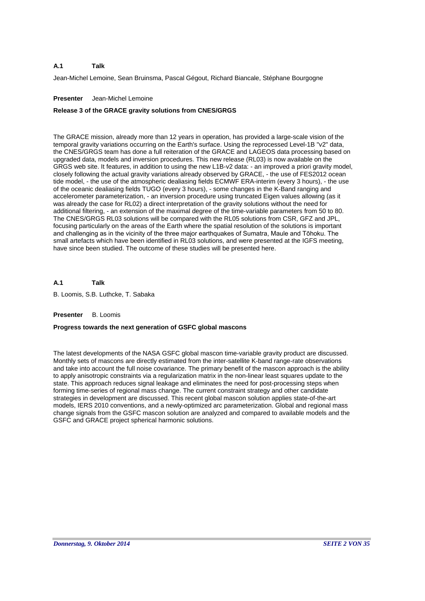Jean-Michel Lemoine, Sean Bruinsma, Pascal Gégout, Richard Biancale, Stéphane Bourgogne

# **Presenter** Jean-Michel Lemoine

# **Release 3 of the GRACE gravity solutions from CNES/GRGS**

The GRACE mission, already more than 12 years in operation, has provided a large-scale vision of the temporal gravity variations occurring on the Earth's surface. Using the reprocessed Level-1B "v2" data, the CNES/GRGS team has done a full reiteration of the GRACE and LAGEOS data processing based on upgraded data, models and inversion procedures. This new release (RL03) is now available on the GRGS web site. It features, in addition to using the new L1B-v2 data: - an improved a priori gravity model, closely following the actual gravity variations already observed by GRACE, - the use of FES2012 ocean tide model, - the use of the atmospheric dealiasing fields ECMWF ERA-interim (every 3 hours), - the use of the oceanic dealiasing fields TUGO (every 3 hours), - some changes in the K-Band ranging and accelerometer parameterization, - an inversion procedure using truncated Eigen values allowing (as it was already the case for RL02) a direct interpretation of the gravity solutions without the need for additional filtering, - an extension of the maximal degree of the time-variable parameters from 50 to 80. The CNES/GRGS RL03 solutions will be compared with the RL05 solutions from CSR, GFZ and JPL, focusing particularly on the areas of the Earth where the spatial resolution of the solutions is important and challenging as in the vicinity of the three major earthquakes of Sumatra, Maule and Tōhoku. The small artefacts which have been identified in RL03 solutions, and were presented at the IGFS meeting, have since been studied. The outcome of these studies will be presented here.

**A.1 Talk**

B. Loomis, S.B. Luthcke, T. Sabaka

# **Presenter** B. Loomis

# **Progress towards the next generation of GSFC global mascons**

The latest developments of the NASA GSFC global mascon time-variable gravity product are discussed. Monthly sets of mascons are directly estimated from the inter-satellite K-band range-rate observations and take into account the full noise covariance. The primary benefit of the mascon approach is the ability to apply anisotropic constraints via a regularization matrix in the non-linear least squares update to the state. This approach reduces signal leakage and eliminates the need for post-processing steps when forming time-series of regional mass change. The current constraint strategy and other candidate strategies in development are discussed. This recent global mascon solution applies state-of-the-art models, IERS 2010 conventions, and a newly-optimized arc parameterization. Global and regional mass change signals from the GSFC mascon solution are analyzed and compared to available models and the GSFC and GRACE project spherical harmonic solutions.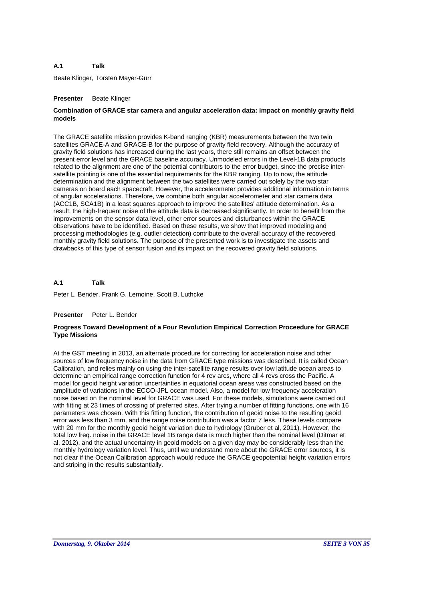Beate Klinger, Torsten Mayer-Gürr

# **Presenter** Beate Klinger

# **Combination of GRACE star camera and angular acceleration data: impact on monthly gravity field models**

The GRACE satellite mission provides K-band ranging (KBR) measurements between the two twin satellites GRACE-A and GRACE-B for the purpose of gravity field recovery. Although the accuracy of gravity field solutions has increased during the last years, there still remains an offset between the present error level and the GRACE baseline accuracy. Unmodeled errors in the Level-1B data products related to the alignment are one of the potential contributors to the error budget, since the precise intersatellite pointing is one of the essential requirements for the KBR ranging. Up to now, the attitude determination and the alignment between the two satellites were carried out solely by the two star cameras on board each spacecraft. However, the accelerometer provides additional information in terms of angular accelerations. Therefore, we combine both angular accelerometer and star camera data (ACC1B, SCA1B) in a least squares approach to improve the satellites' attitude determination. As a result, the high-frequent noise of the attitude data is decreased significantly. In order to benefit from the improvements on the sensor data level, other error sources and disturbances within the GRACE observations have to be identified. Based on these results, we show that improved modeling and processing methodologies (e.g. outlier detection) contribute to the overall accuracy of the recovered monthly gravity field solutions. The purpose of the presented work is to investigate the assets and drawbacks of this type of sensor fusion and its impact on the recovered gravity field solutions.

### **A.1 Talk**

Peter L. Bender, Frank G. Lemoine, Scott B. Luthcke

# **Presenter** Peter L. Bender

# **Progress Toward Development of a Four Revolution Empirical Correction Proceedure for GRACE Type Missions**

At the GST meeting in 2013, an alternate procedure for correcting for acceleration noise and other sources of low frequency noise in the data from GRACE type missions was described. It is called Ocean Calibration, and relies mainly on using the inter-satellite range results over low latitude ocean areas to determine an empirical range correction function for 4 rev arcs, where all 4 revs cross the Pacific. A model for geoid height variation uncertainties in equatorial ocean areas was constructed based on the amplitude of variations in the ECCO-JPL ocean model. Also, a model for low frequency acceleration noise based on the nominal level for GRACE was used. For these models, simulations were carried out with fitting at 23 times of crossing of preferred sites. After trying a number of fitting functions, one with 16 parameters was chosen. With this fitting function, the contribution of geoid noise to the resulting geoid error was less than 3 mm, and the range noise contribution was a factor 7 less. These levels compare with 20 mm for the monthly geoid height variation due to hydrology (Gruber et al, 2011). However, the total low freq. noise in the GRACE level 1B range data is much higher than the nominal level (Ditmar et al, 2012), and the actual uncertainty in geoid models on a given day may be considerably less than the monthly hydrology variation level. Thus, until we understand more about the GRACE error sources, it is not clear if the Ocean Calibration approach would reduce the GRACE geopotential height variation errors and striping in the results substantially.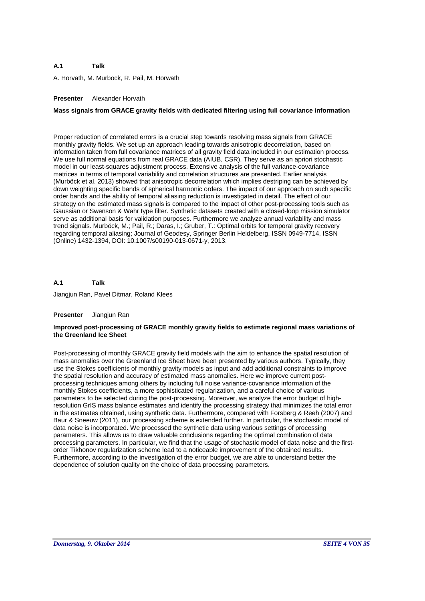A. Horvath, M. Murböck, R. Pail, M. Horwath

# **Presenter** Alexander Horvath

# **Mass signals from GRACE gravity fields with dedicated filtering using full covariance information**

Proper reduction of correlated errors is a crucial step towards resolving mass signals from GRACE monthly gravity fields. We set up an approach leading towards anisotropic decorrelation, based on information taken from full covariance matrices of all gravity field data included in our estimation process. We use full normal equations from real GRACE data (AIUB, CSR). They serve as an apriori stochastic model in our least-squares adjustment process. Extensive analysis of the full variance-covariance matrices in terms of temporal variability and correlation structures are presented. Earlier analysis (Murböck et al. 2013) showed that anisotropic decorrelation which implies destriping can be achieved by down weighting specific bands of spherical harmonic orders. The impact of our approach on such specific order bands and the ability of temporal aliasing reduction is investigated in detail. The effect of our strategy on the estimated mass signals is compared to the impact of other post-processing tools such as Gaussian or Swenson & Wahr type filter. Synthetic datasets created with a closed-loop mission simulator serve as additional basis for validation purposes. Furthermore we analyze annual variability and mass trend signals. Murböck, M.; Pail, R.; Daras, I.; Gruber, T.: Optimal orbits for temporal gravity recovery regarding temporal aliasing; Journal of Geodesy, Springer Berlin Heidelberg, ISSN 0949-7714, ISSN (Online) 1432-1394, DOI: 10.1007/s00190-013-0671-y, 2013.

#### **A.1 Talk**

Jiangjun Ran, Pavel Ditmar, Roland Klees

### **Presenter** Jiangjun Ran

### **Improved post-processing of GRACE monthly gravity fields to estimate regional mass variations of the Greenland Ice Sheet**

Post-processing of monthly GRACE gravity field models with the aim to enhance the spatial resolution of mass anomalies over the Greenland Ice Sheet have been presented by various authors. Typically, they use the Stokes coefficients of monthly gravity models as input and add additional constraints to improve the spatial resolution and accuracy of estimated mass anomalies. Here we improve current postprocessing techniques among others by including full noise variance-covariance information of the monthly Stokes coefficients, a more sophisticated regularization, and a careful choice of various parameters to be selected during the post-processing. Moreover, we analyze the error budget of highresolution GrIS mass balance estimates and identify the processing strategy that minimizes the total error in the estimates obtained, using synthetic data. Furthermore, compared with Forsberg & Reeh (2007) and Baur & Sneeuw (2011), our processing scheme is extended further. In particular, the stochastic model of data noise is incorporated. We processed the synthetic data using various settings of processing parameters. This allows us to draw valuable conclusions regarding the optimal combination of data processing parameters. In particular, we find that the usage of stochastic model of data noise and the firstorder Tikhonov regularization scheme lead to a noticeable improvement of the obtained results. Furthermore, according to the investigation of the error budget, we are able to understand better the dependence of solution quality on the choice of data processing parameters.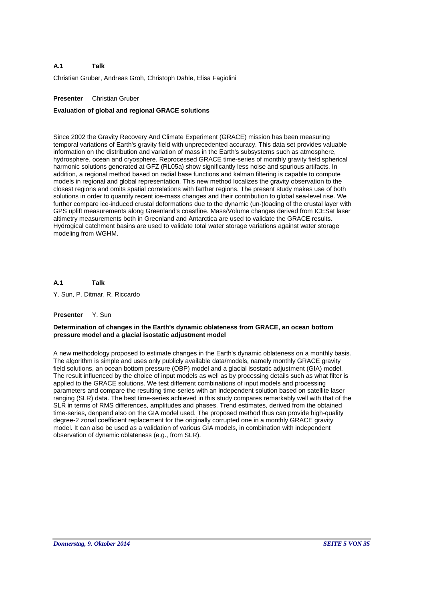Christian Gruber, Andreas Groh, Christoph Dahle, Elisa Fagiolini

# **Presenter** Christian Gruber

# **Evaluation of global and regional GRACE solutions**

Since 2002 the Gravity Recovery And Climate Experiment (GRACE) mission has been measuring temporal variations of Earth's gravity field with unprecedented accuracy. This data set provides valuable information on the distribution and variation of mass in the Earth's subsystems such as atmosphere, hydrosphere, ocean and cryosphere. Reprocessed GRACE time-series of monthly gravity field spherical harmonic solutions generated at GFZ (RL05a) show significantly less noise and spurious artifacts. In addition, a regional method based on radial base functions and kalman filtering is capable to compute models in regional and global representation. This new method localizes the gravity observation to the closest regions and omits spatial correlations with farther regions. The present study makes use of both solutions in order to quantify recent ice-mass changes and their contribution to global sea-level rise. We further compare ice-induced crustal deformations due to the dynamic (un-)loading of the crustal layer with GPS uplift measurements along Greenland's coastline. Mass/Volume changes derived from ICESat laser altimetry measurements both in Greenland and Antarctica are used to validate the GRACE results. Hydrogical catchment basins are used to validate total water storage variations against water storage modeling from WGHM.

### **A.1 Talk**

Y. Sun, P. Ditmar, R. Riccardo

# **Presenter** Y. Sun

# **Determination of changes in the Earth's dynamic oblateness from GRACE, an ocean bottom pressure model and a glacial isostatic adjustment model**

A new methodology proposed to estimate changes in the Earth's dynamic oblateness on a monthly basis. The algorithm is simple and uses only publicly available data/models, namely monthly GRACE gravity field solutions, an ocean bottom pressure (OBP) model and a glacial isostatic adjustment (GIA) model. The result influenced by the choice of input models as well as by processing details such as what filter is applied to the GRACE solutions. We test differrent combinations of input models and processing parameters and compare the resulting time-series with an independent solution based on satellite laser ranging (SLR) data. The best time-series achieved in this study compares remarkably well with that of the SLR in terms of RMS differences, amplitudes and phases. Trend estimates, derived from the obtained time-series, denpend also on the GIA model used. The proposed method thus can provide high-quality degree-2 zonal coefficient replacement for the originally corrupted one in a monthly GRACE gravity model. It can also be used as a validation of various GIA models, in combination with independent observation of dynamic oblateness (e.g., from SLR).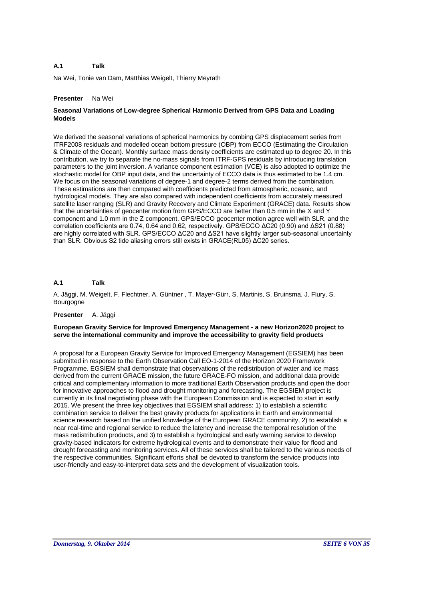Na Wei, Tonie van Dam, Matthias Weigelt, Thierry Meyrath

# **Presenter** Na Wei

# **Seasonal Variations of Low-degree Spherical Harmonic Derived from GPS Data and Loading Models**

We derived the seasonal variations of spherical harmonics by combing GPS displacement series from ITRF2008 residuals and modelled ocean bottom pressure (OBP) from ECCO (Estimating the Circulation & Climate of the Ocean). Monthly surface mass density coefficients are estimated up to degree 20. In this contribution, we try to separate the no-mass signals from ITRF-GPS residuals by introducing translation parameters to the joint inversion. A variance component estimation (VCE) is also adopted to optimize the stochastic model for OBP input data, and the uncertainty of ECCO data is thus estimated to be 1.4 cm. We focus on the seasonal variations of degree-1 and degree-2 terms derived from the combination. These estimations are then compared with coefficients predicted from atmospheric, oceanic, and hydrological models. They are also compared with independent coefficients from accurately measured satellite laser ranging (SLR) and Gravity Recovery and Climate Experiment (GRACE) data. Results show that the uncertainties of geocenter motion from GPS/ECCO are better than 0.5 mm in the X and Y component and 1.0 mm in the Z component. GPS/ECCO geocenter motion agree well with SLR, and the correlation coefficients are 0.74, 0.64 and 0.62, respectively. GPS/ECCO ΔC20 (0.90) and ΔS21 (0.88) are highly correlated with SLR. GPS/ECCO ΔC20 and ΔS21 have slightly larger sub-seasonal uncertainty than SLR. Obvious S2 tide aliasing errors still exists in GRACE(RL05) ΔC20 series.

#### **A.1 Talk**

A. Jäggi, M. Weigelt, F. Flechtner, A. Güntner , T. Mayer-Gürr, S. Martinis, S. Bruinsma, J. Flury, S. Bourgogne

### **Presenter** A. Jäggi

# **European Gravity Service for Improved Emergency Management - a new Horizon2020 project to serve the international community and improve the accessibility to gravity field products**

A proposal for a European Gravity Service for Improved Emergency Management (EGSIEM) has been submitted in response to the Earth Observation Call EO-1-2014 of the Horizon 2020 Framework Programme. EGSIEM shall demonstrate that observations of the redistribution of water and ice mass derived from the current GRACE mission, the future GRACE-FO mission, and additional data provide critical and complementary information to more traditional Earth Observation products and open the door for innovative approaches to flood and drought monitoring and forecasting. The EGSIEM project is currently in its final negotiating phase with the European Commission and is expected to start in early 2015. We present the three key objectives that EGSIEM shall address: 1) to establish a scientific combination service to deliver the best gravity products for applications in Earth and environmental science research based on the unified knowledge of the European GRACE community, 2) to establish a near real-time and regional service to reduce the latency and increase the temporal resolution of the mass redistribution products, and 3) to establish a hydrological and early warning service to develop gravity-based indicators for extreme hydrological events and to demonstrate their value for flood and drought forecasting and monitoring services. All of these services shall be tailored to the various needs of the respective communities. Significant efforts shall be devoted to transform the service products into user-friendly and easy-to-interpret data sets and the development of visualization tools.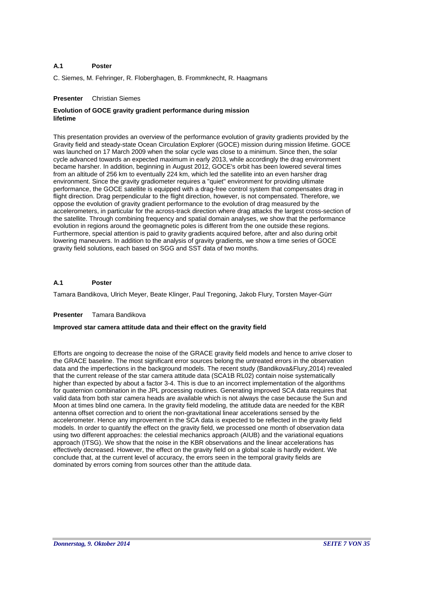### **A.1 Poster**

C. Siemes, M. Fehringer, R. Floberghagen, B. Frommknecht, R. Haagmans

# **Presenter** Christian Siemes

# **Evolution of GOCE gravity gradient performance during mission lifetime**

This presentation provides an overview of the performance evolution of gravity gradients provided by the Gravity field and steady-state Ocean Circulation Explorer (GOCE) mission during mission lifetime. GOCE was launched on 17 March 2009 when the solar cycle was close to a minimum. Since then, the solar cycle advanced towards an expected maximum in early 2013, while accordingly the drag environment became harsher. In addition, beginning in August 2012, GOCE's orbit has been lowered several times from an altitude of 256 km to eventually 224 km, which led the satellite into an even harsher drag environment. Since the gravity gradiometer requires a "quiet" environment for providing ultimate performance, the GOCE satellite is equipped with a drag-free control system that compensates drag in flight direction. Drag perpendicular to the flight direction, however, is not compensated. Therefore, we oppose the evolution of gravity gradient performance to the evolution of drag measured by the accelerometers, in particular for the across-track direction where drag attacks the largest cross-section of the satellite. Through combining frequency and spatial domain analyses, we show that the performance evolution in regions around the geomagnetic poles is different from the one outside these regions. Furthermore, special attention is paid to gravity gradients acquired before, after and also during orbit lowering maneuvers. In addition to the analysis of gravity gradients, we show a time series of GOCE gravity field solutions, each based on SGG and SST data of two months.

### **A.1 Poster**

Tamara Bandikova, Ulrich Meyer, Beate Klinger, Paul Tregoning, Jakob Flury, Torsten Mayer-Gürr

# **Presenter** Tamara Bandikova

# **Improved star camera attitude data and their effect on the gravity field**

Efforts are ongoing to decrease the noise of the GRACE gravity field models and hence to arrive closer to the GRACE baseline. The most significant error sources belong the untreated errors in the observation data and the imperfections in the background models. The recent study (Bandikova&Flury,2014) revealed that the current release of the star camera attitude data (SCA1B RL02) contain noise systematically higher than expected by about a factor 3-4. This is due to an incorrect implementation of the algorithms for quaternion combination in the JPL processing routines. Generating improved SCA data requires that valid data from both star camera heads are available which is not always the case because the Sun and Moon at times blind one camera. In the gravity field modeling, the attitude data are needed for the KBR antenna offset correction and to orient the non-gravitational linear accelerations sensed by the accelerometer. Hence any improvement in the SCA data is expected to be reflected in the gravity field models. In order to quantify the effect on the gravity field, we processed one month of observation data using two different approaches: the celestial mechanics approach (AIUB) and the variational equations approach (ITSG). We show that the noise in the KBR observations and the linear accelerations has effectively decreased. However, the effect on the gravity field on a global scale is hardly evident. We conclude that, at the current level of accuracy, the errors seen in the temporal gravity fields are dominated by errors coming from sources other than the attitude data.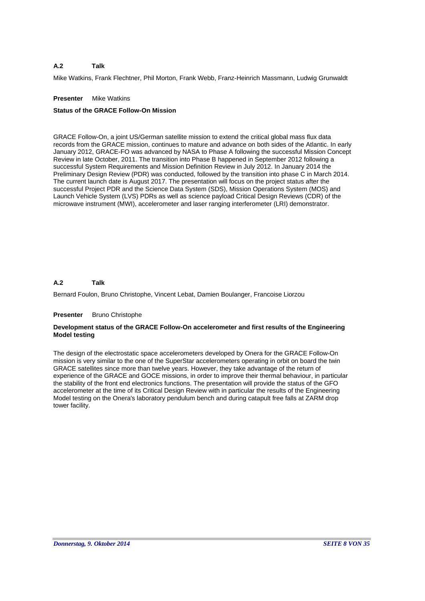Mike Watkins, Frank Flechtner, Phil Morton, Frank Webb, Franz-Heinrich Massmann, Ludwig Grunwaldt

# **Presenter** Mike Watkins

# **Status of the GRACE Follow-On Mission**

GRACE Follow-On, a joint US/German satellite mission to extend the critical global mass flux data records from the GRACE mission, continues to mature and advance on both sides of the Atlantic. In early January 2012, GRACE-FO was advanced by NASA to Phase A following the successful Mission Concept Review in late October, 2011. The transition into Phase B happened in September 2012 following a successful System Requirements and Mission Definition Review in July 2012. In January 2014 the Preliminary Design Review (PDR) was conducted, followed by the transition into phase C in March 2014. The current launch date is August 2017. The presentation will focus on the project status after the successful Project PDR and the Science Data System (SDS), Mission Operations System (MOS) and Launch Vehicle System (LVS) PDRs as well as science payload Critical Design Reviews (CDR) of the microwave instrument (MWI), accelerometer and laser ranging interferometer (LRI) demonstrator.

### **A.2 Talk**

Bernard Foulon, Bruno Christophe, Vincent Lebat, Damien Boulanger, Francoise Liorzou

# **Presenter** Bruno Christophe

# **Development status of the GRACE Follow-On accelerometer and first results of the Engineering Model testing**

The design of the electrostatic space accelerometers developed by Onera for the GRACE Follow-On mission is very similar to the one of the SuperStar accelerometers operating in orbit on board the twin GRACE satellites since more than twelve years. However, they take advantage of the return of experience of the GRACE and GOCE missions, in order to improve their thermal behaviour, in particular the stability of the front end electronics functions. The presentation will provide the status of the GFO accelerometer at the time of its Critical Design Review with in particular the results of the Engineering Model testing on the Onera's laboratory pendulum bench and during catapult free falls at ZARM drop tower facility.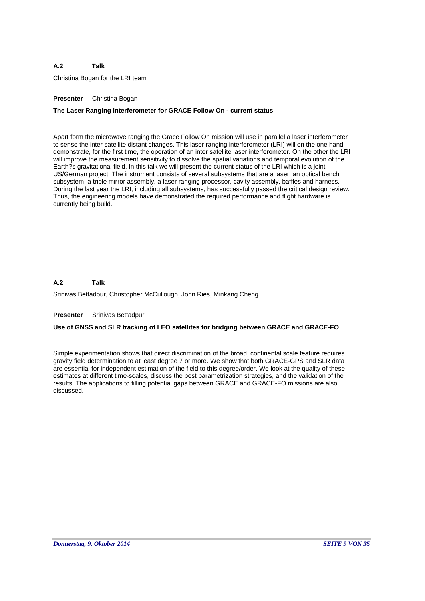Christina Bogan for the LRI team

# **Presenter** Christina Bogan

# **The Laser Ranging interferometer for GRACE Follow On - current status**

Apart form the microwave ranging the Grace Follow On mission will use in parallel a laser interferometer to sense the inter satellite distant changes. This laser ranging interferometer (LRI) will on the one hand demonstrate, for the first time, the operation of an inter satellite laser interferometer. On the other the LRI will improve the measurement sensitivity to dissolve the spatial variations and temporal evolution of the Earth?s gravitational field. In this talk we will present the current status of the LRI which is a joint US/German project. The instrument consists of several subsystems that are a laser, an optical bench subsystem, a triple mirror assembly, a laser ranging processor, cavity assembly, baffles and harness. During the last year the LRI, including all subsystems, has successfully passed the critical design review. Thus, the engineering models have demonstrated the required performance and flight hardware is currently being build.

### **A.2 Talk**

Srinivas Bettadpur, Christopher McCullough, John Ries, Minkang Cheng

# **Presenter** Srinivas Bettadpur

# **Use of GNSS and SLR tracking of LEO satellites for bridging between GRACE and GRACE-FO**

Simple experimentation shows that direct discrimination of the broad, continental scale feature requires gravity field determination to at least degree 7 or more. We show that both GRACE-GPS and SLR data are essential for independent estimation of the field to this degree/order. We look at the quality of these estimates at different time-scales, discuss the best parametrization strategies, and the validation of the results. The applications to filling potential gaps between GRACE and GRACE-FO missions are also discussed.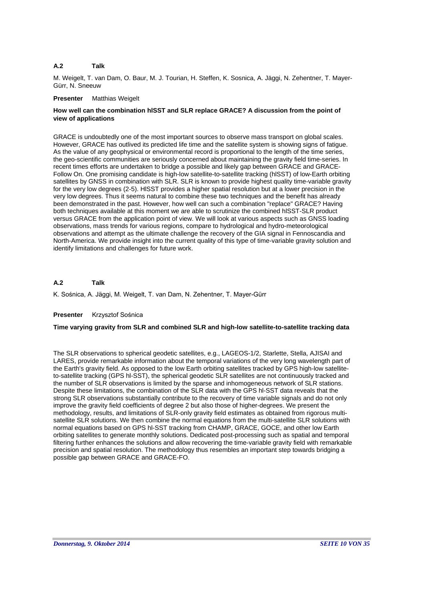M. Weigelt, T. van Dam, O. Baur, M. J. Tourian, H. Steffen, K. Sosnica, A. Jäggi, N. Zehentner, T. Mayer-Gürr, N. Sneeuw

# **Presenter** Matthias Weigelt

# **How well can the combination hlSST and SLR replace GRACE? A discussion from the point of view of applications**

GRACE is undoubtedly one of the most important sources to observe mass transport on global scales. However, GRACE has outlived its predicted life time and the satellite system is showing signs of fatigue. As the value of any geophysical or environmental record is proportional to the length of the time series, the geo-scientific communities are seriously concerned about maintaining the gravity field time-series. In recent times efforts are undertaken to bridge a possible and likely gap between GRACE and GRACE-Follow On. One promising candidate is high-low satellite-to-satellite tracking (hlSST) of low-Earth orbiting satellites by GNSS in combination with SLR. SLR is known to provide highest quality time-variable gravity for the very low degrees (2-5). HlSST provides a higher spatial resolution but at a lower precision in the very low degrees. Thus it seems natural to combine these two techniques and the benefit has already been demonstrated in the past. However, how well can such a combination "replace" GRACE? Having both techniques available at this moment we are able to scrutinize the combined hlSST-SLR product versus GRACE from the application point of view. We will look at various aspects such as GNSS loading observations, mass trends for various regions, compare to hydrological and hydro-meteorological observations and attempt as the ultimate challenge the recovery of the GIA signal in Fennoscandia and North-America. We provide insight into the current quality of this type of time-variable gravity solution and identify limitations and challenges for future work.

### **A.2 Talk**

K. Sośnica, A. Jäggi, M. Weigelt, T. van Dam, N. Zehentner, T. Mayer-Gürr

# **Presenter** Krzysztof Sośnica

# **Time varying gravity from SLR and combined SLR and high-low satellite-to-satellite tracking data**

The SLR observations to spherical geodetic satellites, e.g., LAGEOS-1/2, Starlette, Stella, AJISAI and LARES, provide remarkable information about the temporal variations of the very long wavelength part of the Earth's gravity field. As opposed to the low Earth orbiting satellites tracked by GPS high-low satelliteto-satellite tracking (GPS hl-SST), the spherical geodetic SLR satellites are not continuously tracked and the number of SLR observations is limited by the sparse and inhomogeneous network of SLR stations. Despite these limitations, the combination of the SLR data with the GPS hl-SST data reveals that the strong SLR observations substantially contribute to the recovery of time variable signals and do not only improve the gravity field coefficients of degree 2 but also those of higher-degrees. We present the methodology, results, and limitations of SLR-only gravity field estimates as obtained from rigorous multisatellite SLR solutions. We then combine the normal equations from the multi-satellite SLR solutions with normal equations based on GPS hl-SST tracking from CHAMP, GRACE, GOCE, and other low Earth orbiting satellites to generate monthly solutions. Dedicated post-processing such as spatial and temporal filtering further enhances the solutions and allow recovering the time-variable gravity field with remarkable precision and spatial resolution. The methodology thus resembles an important step towards bridging a possible gap between GRACE and GRACE-FO.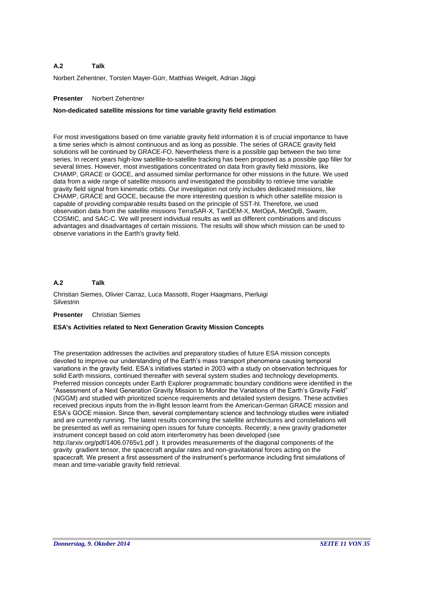Norbert Zehentner, Torsten Mayer-Gürr, Matthias Weigelt, Adrian Jäggi

# **Presenter** Norbert Zehentner

# **Non-dedicated satellite missions for time variable gravity field estimation**

For most investigations based on time variable gravity field information it is of crucial importance to have a time series which is almost continuous and as long as possible. The series of GRACE gravity field solutions will be continued by GRACE-FO. Nevertheless there is a possible gap between the two time series. In recent years high-low satellite-to-satellite tracking has been proposed as a possible gap filler for several times. However, most investigations concentrated on data from gravity field missions, like CHAMP, GRACE or GOCE, and assumed similar performance for other missions in the future. We used data from a wide range of satellite missions and investigated the possibility to retrieve time variable gravity field signal from kinematic orbits. Our investigation not only includes dedicated missions, like CHAMP, GRACE and GOCE, because the more interesting question is which other satellite mission is capable of providing comparable results based on the principle of SST-hl. Therefore, we used observation data from the satellite missions TerraSAR-X, TanDEM-X, MetOpA, MetOpB, Swarm, COSMIC, and SAC-C. We will present individual results as well as different combinations and discuss advantages and disadvantages of certain missions. The results will show which mission can be used to observe variations in the Earth's gravity field.

### **A.2 Talk**

Christian Siemes, Olivier Carraz, Luca Massotti, Roger Haagmans, Pierluigi **Silvestrin** 

# **Presenter** Christian Siemes

# **ESA's Activities related to Next Generation Gravity Mission Concepts**

The presentation addresses the activities and preparatory studies of future ESA mission concepts devoted to improve our understanding of the Earth's mass transport phenomena causing temporal variations in the gravity field. ESA's initiatives started in 2003 with a study on observation techniques for solid Earth missions, continued thereafter with several system studies and technology developments. Preferred mission concepts under Earth Explorer programmatic boundary conditions were identified in the "Assessment of a Next Generation Gravity Mission to Monitor the Variations of the Earth's Gravity Field" (NGGM) and studied with prioritized science requirements and detailed system designs. These activities received precious inputs from the in-flight lesson learnt from the American-German GRACE mission and ESA's GOCE mission. Since then, several complementary science and technology studies were initiated and are currently running. The latest results concerning the satellite architectures and constellations will be presented as well as remaining open issues for future concepts. Recently, a new gravity gradiometer instrument concept based on cold atom interferometry has been developed (see http://arxiv.org/pdf/1406.0765v1.pdf ). It provides measurements of the diagonal components of the gravity gradient tensor, the spacecraft angular rates and non-gravitational forces acting on the spacecraft. We present a first assessment of the instrument's performance including first simulations of mean and time-variable gravity field retrieval.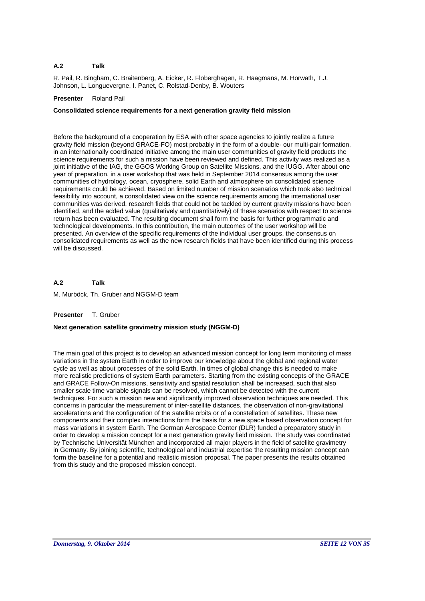R. Pail, R. Bingham, C. Braitenberg, A. Eicker, R. Floberghagen, R. Haagmans, M. Horwath, T.J. Johnson, L. Longuevergne, I. Panet, C. Rolstad-Denby, B. Wouters

# **Presenter** Roland Pail

# **Consolidated science requirements for a next generation gravity field mission**

Before the background of a cooperation by ESA with other space agencies to jointly realize a future gravity field mission (beyond GRACE-FO) most probably in the form of a double- our multi-pair formation, in an internationally coordinated initiative among the main user communities of gravity field products the science requirements for such a mission have been reviewed and defined. This activity was realized as a joint initiative of the IAG, the GGOS Working Group on Satellite Missions, and the IUGG. After about one year of preparation, in a user workshop that was held in September 2014 consensus among the user communities of hydrology, ocean, cryosphere, solid Earth and atmosphere on consolidated science requirements could be achieved. Based on limited number of mission scenarios which took also technical feasibility into account, a consolidated view on the science requirements among the international user communities was derived, research fields that could not be tackled by current gravity missions have been identified, and the added value (qualitatively and quantitatively) of these scenarios with respect to science return has been evaluated. The resulting document shall form the basis for further programmatic and technological developments. In this contribution, the main outcomes of the user workshop will be presented. An overview of the specific requirements of the individual user groups, the consensus on consolidated requirements as well as the new research fields that have been identified during this process will be discussed.

**A.2 Talk**

M. Murböck, Th. Gruber and NGGM-D team

# **Presenter** T. Gruber

# **Next generation satellite gravimetry mission study (NGGM-D)**

The main goal of this project is to develop an advanced mission concept for long term monitoring of mass variations in the system Earth in order to improve our knowledge about the global and regional water cycle as well as about processes of the solid Earth. In times of global change this is needed to make more realistic predictions of system Earth parameters. Starting from the existing concepts of the GRACE and GRACE Follow-On missions, sensitivity and spatial resolution shall be increased, such that also smaller scale time variable signals can be resolved, which cannot be detected with the current techniques. For such a mission new and significantly improved observation techniques are needed. This concerns in particular the measurement of inter-satellite distances, the observation of non-gravitational accelerations and the configuration of the satellite orbits or of a constellation of satellites. These new components and their complex interactions form the basis for a new space based observation concept for mass variations in system Earth. The German Aerospace Center (DLR) funded a preparatory study in order to develop a mission concept for a next generation gravity field mission. The study was coordinated by Technische Universität München and incorporated all major players in the field of satellite gravimetry in Germany. By joining scientific, technological and industrial expertise the resulting mission concept can form the baseline for a potential and realistic mission proposal. The paper presents the results obtained from this study and the proposed mission concept.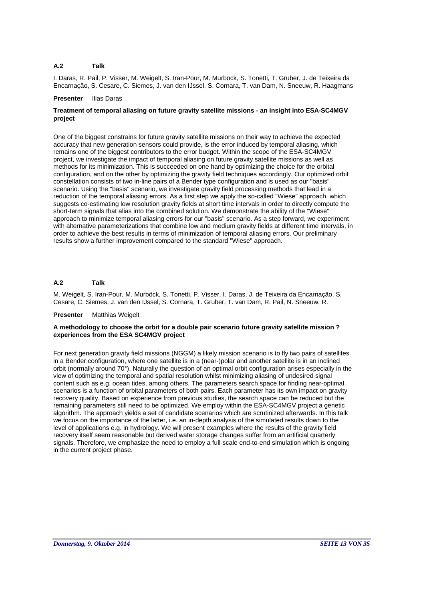I. Daras, R. Pail, P. Visser, M. Weigelt, S. Iran-Pour, M. Murböck, S. Tonetti, T. Gruber, J. de Teixeira da Encarnação, S. Cesare, C. Siemes, J. van den IJssel, S. Cornara, T. van Dam, N. Sneeuw, R. Haagmans

### **Presenter** Ilias Daras

# **Treatment of temporal aliasing on future gravity satellite missions - an insight into ESA-SC4MGV project**

One of the biggest constrains for future gravity satellite missions on their way to achieve the expected accuracy that new generation sensors could provide, is the error induced by temporal aliasing, which remains one of the biggest contributors to the error budget. Within the scope of the ESA-SC4MGV project, we investigate the impact of temporal aliasing on future gravity satellite missions as well as methods for its minimization. This is succeeded on one hand by optimizing the choice for the orbital configuration, and on the other by optimizing the gravity field techniques accordingly. Our optimized orbit constellation consists of two in-line pairs of a Bender type configuration and is used as our "basis" scenario. Using the "basis" scenario, we investigate gravity field processing methods that lead in a reduction of the temporal aliasing errors. As a first step we apply the so-called "Wiese" approach, which suggests co-estimating low resolution gravity fields at short time intervals in order to directly compute the short-term signals that alias into the combined solution. We demonstrate the ability of the "Wiese" approach to minimize temporal aliasing errors for our "basis" scenario. As a step forward, we experiment with alternative parameterizations that combine low and medium gravity fields at different time intervals, in order to achieve the best results in terms of minimization of temporal aliasing errors. Our preliminary results show a further improvement compared to the standard "Wiese" approach.

### **A.2 Talk**

M. Weigelt, S. Iran-Pour, M. Murböck, S. Tonetti, P. Visser, I. Daras, J. de Teixeira da Encarnação, S. Cesare, C. Siemes, J. van den IJssel, S. Cornara, T. Gruber, T. van Dam, R. Pail, N. Sneeuw, R.

# **Presenter** Matthias Weigelt

# **A methodology to choose the orbit for a double pair scenario future gravity satellite mission ? experiences from the ESA SC4MGV project**

For next generation gravity field missions (NGGM) a likely mission scenario is to fly two pairs of satellites in a Bender configuration, where one satellite is in a (near-)polar and another satellite is in an inclined orbit (normally around 70°). Naturally the question of an optimal orbit configuration arises especially in the view of optimizing the temporal and spatial resolution whilst minimizing aliasing of undesired signal content such as e.g. ocean tides, among others. The parameters search space for finding near-optimal scenarios is a function of orbital parameters of both pairs. Each parameter has its own impact on gravity recovery quality. Based on experience from previous studies, the search space can be reduced but the remaining parameters still need to be optimized. We employ within the ESA-SC4MGV project a genetic algorithm. The approach yields a set of candidate scenarios which are scrutinized afterwards. In this talk we focus on the importance of the latter, i.e. an in-depth analysis of the simulated results down to the level of applications e.g. in hydrology. We will present examples where the results of the gravity field recovery itself seem reasonable but derived water storage changes suffer from an artificial quarterly signals. Therefore, we emphasize the need to employ a full-scale end-to-end simulation which is ongoing in the current project phase.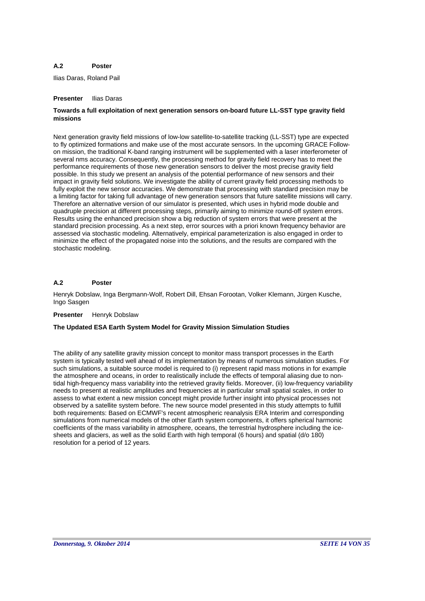### **A.2 Poster**

Ilias Daras, Roland Pail

# **Presenter** Ilias Daras

# **Towards a full exploitation of next generation sensors on-board future LL-SST type gravity field missions**

Next generation gravity field missions of low-low satellite-to-satellite tracking (LL-SST) type are expected to fly optimized formations and make use of the most accurate sensors. In the upcoming GRACE Followon mission, the traditional K-band ranging instrument will be supplemented with a laser interferometer of several nms accuracy. Consequently, the processing method for gravity field recovery has to meet the performance requirements of those new generation sensors to deliver the most precise gravity field possible. In this study we present an analysis of the potential performance of new sensors and their impact in gravity field solutions. We investigate the ability of current gravity field processing methods to fully exploit the new sensor accuracies. We demonstrate that processing with standard precision may be a limiting factor for taking full advantage of new generation sensors that future satellite missions will carry. Therefore an alternative version of our simulator is presented, which uses in hybrid mode double and quadruple precision at different processing steps, primarily aiming to minimize round-off system errors. Results using the enhanced precision show a big reduction of system errors that were present at the standard precision processing. As a next step, error sources with a priori known frequency behavior are assessed via stochastic modeling. Alternatively, empirical parameterization is also engaged in order to minimize the effect of the propagated noise into the solutions, and the results are compared with the stochastic modeling.

### **A.2 Poster**

Henryk Dobslaw, Inga Bergmann-Wolf, Robert Dill, Ehsan Forootan, Volker Klemann, Jürgen Kusche, Ingo Sasgen

# **Presenter** Henryk Dobslaw

# **The Updated ESA Earth System Model for Gravity Mission Simulation Studies**

The ability of any satellite gravity mission concept to monitor mass transport processes in the Earth system is typically tested well ahead of its implementation by means of numerous simulation studies. For such simulations, a suitable source model is required to (i) represent rapid mass motions in for example the atmosphere and oceans, in order to realistically include the effects of temporal aliasing due to nontidal high-frequency mass variability into the retrieved gravity fields. Moreover, (ii) low-frequency variability needs to present at realistic amplitudes and frequencies at in particular small spatial scales, in order to assess to what extent a new mission concept might provide further insight into physical processes not observed by a satellite system before. The new source model presented in this study attempts to fulfill both requirements: Based on ECMWF's recent atmospheric reanalysis ERA Interim and corresponding simulations from numerical models of the other Earth system components, it offers spherical harmonic coefficients of the mass variability in atmosphere, oceans, the terrestrial hydrosphere including the icesheets and glaciers, as well as the solid Earth with high temporal (6 hours) and spatial (d/o 180) resolution for a period of 12 years.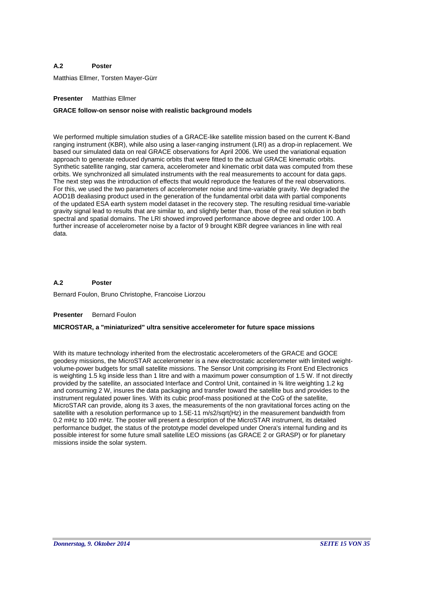### **A.2 Poster**

Matthias Ellmer, Torsten Mayer-Gürr

# **Presenter** Matthias Ellmer

# **GRACE follow-on sensor noise with realistic background models**

We performed multiple simulation studies of a GRACE-like satellite mission based on the current K-Band ranging instrument (KBR), while also using a laser-ranging instrument (LRI) as a drop-in replacement. We based our simulated data on real GRACE observations for April 2006. We used the variational equation approach to generate reduced dynamic orbits that were fitted to the actual GRACE kinematic orbits. Synthetic satellite ranging, star camera, accelerometer and kinematic orbit data was computed from these orbits. We synchronized all simulated instruments with the real measurements to account for data gaps. The next step was the introduction of effects that would reproduce the features of the real observations. For this, we used the two parameters of accelerometer noise and time-variable gravity. We degraded the AOD1B dealiasing product used in the generation of the fundamental orbit data with partial components of the updated ESA earth system model dataset in the recovery step. The resulting residual time-variable gravity signal lead to results that are similar to, and slightly better than, those of the real solution in both spectral and spatial domains. The LRI showed improved performance above degree and order 100. A further increase of accelerometer noise by a factor of 9 brought KBR degree variances in line with real data.

### **A.2 Poster**

Bernard Foulon, Bruno Christophe, Francoise Liorzou

### **Presenter** Bernard Foulon

# **MICROSTAR, a "miniaturized" ultra sensitive accelerometer for future space missions**

With its mature technology inherited from the electrostatic accelerometers of the GRACE and GOCE geodesy missions, the MicroSTAR accelerometer is a new electrostatic accelerometer with limited weightvolume-power budgets for small satellite missions. The Sensor Unit comprising its Front End Electronics is weighting 1.5 kg inside less than 1 litre and with a maximum power consumption of 1.5 W. If not directly provided by the satellite, an associated Interface and Control Unit, contained in ¾ litre weighting 1.2 kg and consuming 2 W, insures the data packaging and transfer toward the satellite bus and provides to the instrument regulated power lines. With its cubic proof-mass positioned at the CoG of the satellite, MicroSTAR can provide, along its 3 axes, the measurements of the non gravitational forces acting on the satellite with a resolution performance up to 1.5E-11 m/s2/sqrt(Hz) in the measurement bandwidth from 0.2 mHz to 100 mHz. The poster will present a description of the MicroSTAR instrument, its detailed performance budget, the status of the prototype model developed under Onera's internal funding and its possible interest for some future small satellite LEO missions (as GRACE 2 or GRASP) or for planetary missions inside the solar system.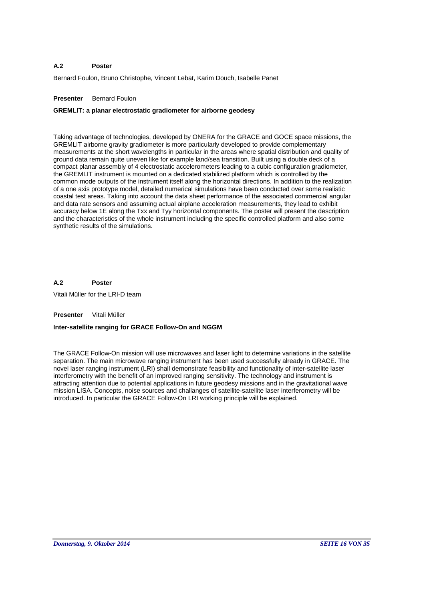### **A.2 Poster**

Bernard Foulon, Bruno Christophe, Vincent Lebat, Karim Douch, Isabelle Panet

# **Presenter** Bernard Foulon

# **GREMLIT: a planar electrostatic gradiometer for airborne geodesy**

Taking advantage of technologies, developed by ONERA for the GRACE and GOCE space missions, the GREMLIT airborne gravity gradiometer is more particularly developed to provide complementary measurements at the short wavelengths in particular in the areas where spatial distribution and quality of ground data remain quite uneven like for example land/sea transition. Built using a double deck of a compact planar assembly of 4 electrostatic accelerometers leading to a cubic configuration gradiometer, the GREMLIT instrument is mounted on a dedicated stabilized platform which is controlled by the common mode outputs of the instrument itself along the horizontal directions. In addition to the realization of a one axis prototype model, detailed numerical simulations have been conducted over some realistic coastal test areas. Taking into account the data sheet performance of the associated commercial angular and data rate sensors and assuming actual airplane acceleration measurements, they lead to exhibit accuracy below 1E along the Txx and Tyy horizontal components. The poster will present the description and the characteristics of the whole instrument including the specific controlled platform and also some synthetic results of the simulations.

### **A.2 Poster**

Vitali Müller for the LRI-D team

# **Presenter** Vitali Müller

# **Inter-satellite ranging for GRACE Follow-On and NGGM**

The GRACE Follow-On mission will use microwaves and laser light to determine variations in the satellite separation. The main microwave ranging instrument has been used successfully already in GRACE. The novel laser ranging instrument (LRI) shall demonstrate feasibility and functionality of inter-satellite laser interferometry with the benefit of an improved ranging sensitivity. The technology and instrument is attracting attention due to potential applications in future geodesy missions and in the gravitational wave mission LISA. Concepts, noise sources and challanges of satellite-satellite laser interferometry will be introduced. In particular the GRACE Follow-On LRI working principle will be explained.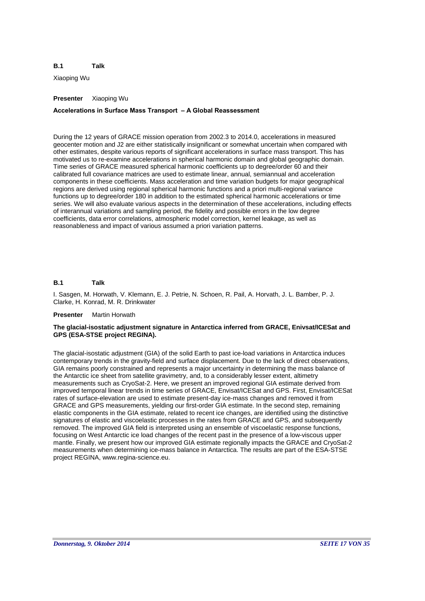### **B.1 Talk**

Xiaoping Wu

# **Presenter** Xiaoping Wu

# **Accelerations in Surface Mass Transport – A Global Reassessment**

During the 12 years of GRACE mission operation from 2002.3 to 2014.0, accelerations in measured geocenter motion and J2 are either statistically insignificant or somewhat uncertain when compared with other estimates, despite various reports of significant accelerations in surface mass transport. This has motivated us to re-examine accelerations in spherical harmonic domain and global geographic domain. Time series of GRACE measured spherical harmonic coefficients up to degree/order 60 and their calibrated full covariance matrices are used to estimate linear, annual, semiannual and acceleration components in these coefficients. Mass acceleration and time variation budgets for major geographical regions are derived using regional spherical harmonic functions and a priori multi-regional variance functions up to degree/order 180 in addition to the estimated spherical harmonic accelerations or time series. We will also evaluate various aspects in the determination of these accelerations, including effects of interannual variations and sampling period, the fidelity and possible errors in the low degree coefficients, data error correlations, atmospheric model correction, kernel leakage, as well as reasonableness and impact of various assumed a priori variation patterns.

### **B.1 Talk**

I. Sasgen, M. Horwath, V. Klemann, E. J. Petrie, N. Schoen, R. Pail, A. Horvath, J. L. Bamber, P. J. Clarke, H. Konrad, M. R. Drinkwater

# **Presenter** Martin Horwath

# **The glacial-isostatic adjustment signature in Antarctica inferred from GRACE, Enivsat/ICESat and GPS (ESA-STSE project REGINA).**

The glacial-isostatic adjustment (GIA) of the solid Earth to past ice-load variations in Antarctica induces contemporary trends in the gravity-field and surface displacement. Due to the lack of direct observations, GIA remains poorly constrained and represents a major uncertainty in determining the mass balance of the Antarctic ice sheet from satellite gravimetry, and, to a considerably lesser extent, altimetry measurements such as CryoSat-2. Here, we present an improved regional GIA estimate derived from improved temporal linear trends in time series of GRACE, Envisat/ICESat and GPS. First, Envisat/ICESat rates of surface-elevation are used to estimate present-day ice-mass changes and removed it from GRACE and GPS measurements, yielding our first-order GIA estimate. In the second step, remaining elastic components in the GIA estimate, related to recent ice changes, are identified using the distinctive signatures of elastic and viscoelastic processes in the rates from GRACE and GPS, and subsequently removed. The improved GIA field is interpreted using an ensemble of viscoelastic response functions, focusing on West Antarctic ice load changes of the recent past in the presence of a low-viscous upper mantle. Finally, we present how our improved GIA estimate regionally impacts the GRACE and CryoSat-2 measurements when determining ice-mass balance in Antarctica. The results are part of the ESA-STSE project REGINA, www.regina-science.eu.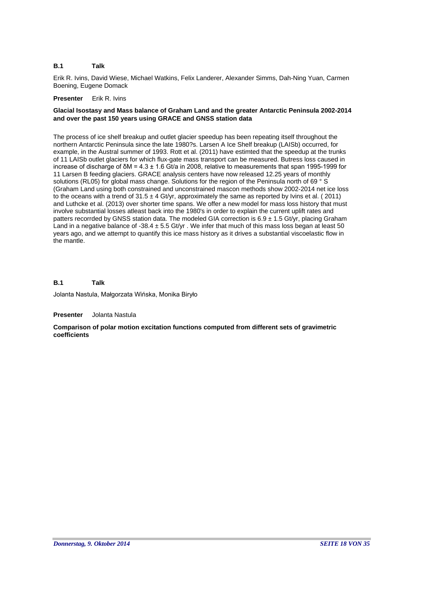### **B.1 Talk**

Erik R. Ivins, David Wiese, Michael Watkins, Felix Landerer, Alexander Simms, Dah-Ning Yuan, Carmen Boening, Eugene Domack

# **Presenter** Erik R. Ivins

# **Glacial Isostasy and Mass balance of Graham Land and the greater Antarctic Peninsula 2002-2014 and over the past 150 years using GRACE and GNSS station data**

The process of ice shelf breakup and outlet glacier speedup has been repeating itself throughout the northern Antarctic Peninsula since the late 1980?s. Larsen A Ice Shelf breakup (LAISb) occurred, for example, in the Austral summer of 1993. Rott et al. (2011) have estimted that the speedup at the trunks of 11 LAISb outlet glaciers for which flux-gate mass transport can be measured. Butress loss caused in increase of discharge of  $\delta M = 4.3 \pm 1.6$  Gt/a in 2008, relative to measurements that span 1995-1999 for 11 Larsen B feeding glaciers. GRACE analysis centers have now released 12.25 years of monthly solutions (RL05) for global mass change. Solutions for the region of the Peninsula north of 69 ° S (Graham Land using both constrained and unconstrained mascon methods show 2002-2014 net ice loss to the oceans with a trend of  $31.5 \pm 4$  Gt/yr, approximately the same as reported by Ivins et al. (2011) and Luthcke et al. (2013) over shorter time spans. We offer a new model for mass loss history that must involve substantial losses atleast back into the 1980's in order to explain the current uplift rates and patters recorrded by GNSS station data. The modeled GIA correction is  $6.9 \pm 1.5$  Gt/yr, placing Graham Land in a negative balance of -38.4  $\pm$  5.5 Gt/yr . We infer that much of this mass loss began at least 50 years ago, and we attempt to quantify this ice mass history as it drives a substantial viscoelastic flow in the mantle.

### **B.1 Talk**

Jolanta Nastula, Małgorzata Wińska, Monika Biryło

# **Presenter** Jolanta Nastula

# **Comparison of polar motion excitation functions computed from different sets of gravimetric coefficients**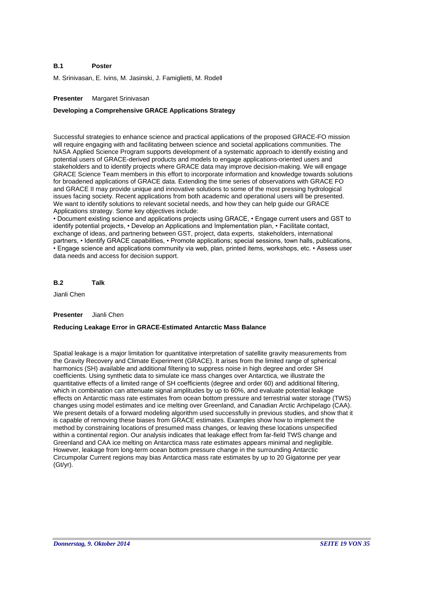### **B.1 Poster**

M. Srinivasan, E. Ivins, M. Jasinski, J. Famiglietti, M. Rodell

# **Presenter** Margaret Srinivasan

# **Developing a Comprehensive GRACE Applications Strategy**

Successful strategies to enhance science and practical applications of the proposed GRACE-FO mission will require engaging with and facilitating between science and societal applications communities. The NASA Applied Science Program supports development of a systematic approach to identify existing and potential users of GRACE-derived products and models to engage applications-oriented users and stakeholders and to identify projects where GRACE data may improve decision-making. We will engage GRACE Science Team members in this effort to incorporate information and knowledge towards solutions for broadened applications of GRACE data. Extending the time series of observations with GRACE FO and GRACE II may provide unique and innovative solutions to some of the most pressing hydrological issues facing society. Recent applications from both academic and operational users will be presented. We want to identify solutions to relevant societal needs, and how they can help guide our GRACE Applications strategy. Some key objectives include:

• Document existing science and applications projects using GRACE, • Engage current users and GST to identify potential projects, • Develop an Applications and Implementation plan, • Facilitate contact, exchange of ideas, and partnering between GST, project, data experts, stakeholders, international partners, • Identify GRACE capabilities, • Promote applications; special sessions, town halls, publications, • Engage science and applications community via web, plan, printed items, workshops, etc. • Assess user data needs and access for decision support.

**B.2 Talk**

Jianli Chen

### **Presenter** Jianli Chen

# **Reducing Leakage Error in GRACE-Estimated Antarctic Mass Balance**

Spatial leakage is a major limitation for quantitative interpretation of satellite gravity measurements from the Gravity Recovery and Climate Experiment (GRACE). It arises from the limited range of spherical harmonics (SH) available and additional filtering to suppress noise in high degree and order SH coefficients. Using synthetic data to simulate ice mass changes over Antarctica, we illustrate the quantitative effects of a limited range of SH coefficients (degree and order 60) and additional filtering, which in combination can attenuate signal amplitudes by up to 60%, and evaluate potential leakage effects on Antarctic mass rate estimates from ocean bottom pressure and terrestrial water storage (TWS) changes using model estimates and ice melting over Greenland, and Canadian Arctic Archipelago (CAA). We present details of a forward modeling algorithm used successfully in previous studies, and show that it is capable of removing these biases from GRACE estimates. Examples show how to implement the method by constraining locations of presumed mass changes, or leaving these locations unspecified within a continental region. Our analysis indicates that leakage effect from far-field TWS change and Greenland and CAA ice melting on Antarctica mass rate estimates appears minimal and negligible. However, leakage from long-term ocean bottom pressure change in the surrounding Antarctic Circumpolar Current regions may bias Antarctica mass rate estimates by up to 20 Gigatonne per year (Gt/yr).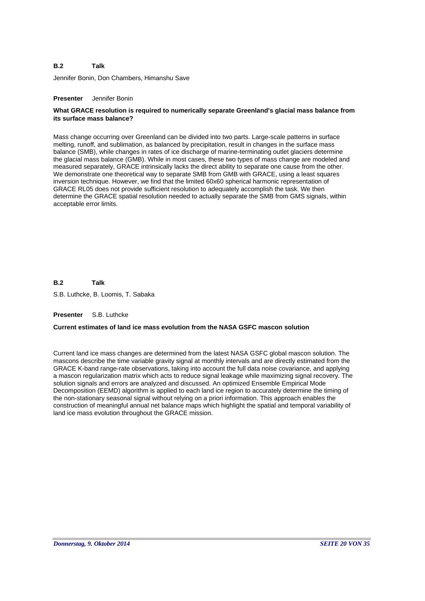### **B.2 Talk**

Jennifer Bonin, Don Chambers, Himanshu Save

# **Presenter** Jennifer Bonin

# **What GRACE resolution is required to numerically separate Greenland's glacial mass balance from its surface mass balance?**

Mass change occurring over Greenland can be divided into two parts. Large-scale patterns in surface melting, runoff, and sublimation, as balanced by precipitation, result in changes in the surface mass balance (SMB), while changes in rates of ice discharge of marine-terminating outlet glaciers determine the glacial mass balance (GMB). While in most cases, these two types of mass change are modeled and measured separately, GRACE intrinsically lacks the direct ability to separate one cause from the other. We demonstrate one theoretical way to separate SMB from GMB with GRACE, using a least squares inversion technique. However, we find that the limited 60x60 spherical harmonic representation of GRACE RL05 does not provide sufficient resolution to adequately accomplish the task. We then determine the GRACE spatial resolution needed to actually separate the SMB from GMS signals, within acceptable error limits.

**B.2 Talk**

S.B. Luthcke, B. Loomis, T. Sabaka

# **Presenter** S.B. Luthcke

# **Current estimates of land ice mass evolution from the NASA GSFC mascon solution**

Current land ice mass changes are determined from the latest NASA GSFC global mascon solution. The mascons describe the time variable gravity signal at monthly intervals and are directly estimated from the GRACE K-band range-rate observations, taking into account the full data noise covariance, and applying a mascon regularization matrix which acts to reduce signal leakage while maximizing signal recovery. The solution signals and errors are analyzed and discussed. An optimized Ensemble Empirical Mode Decomposition (EEMD) algorithm is applied to each land ice region to accurately determine the timing of the non-stationary seasonal signal without relying on a priori information. This approach enables the construction of meaningful annual net balance maps which highlight the spatial and temporal variability of land ice mass evolution throughout the GRACE mission.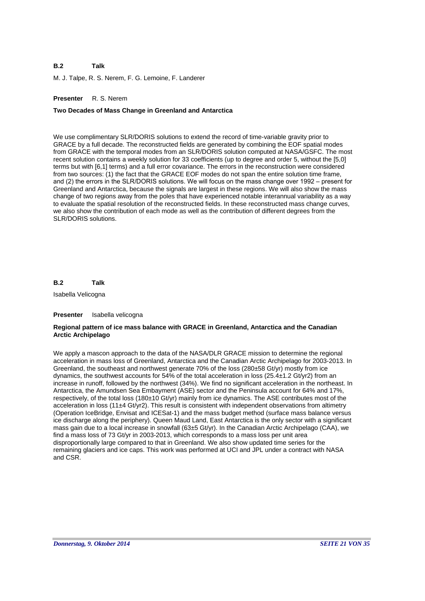### **B.2 Talk**

M. J. Talpe, R. S. Nerem, F. G. Lemoine, F. Landerer

# **Presenter** R. S. Nerem

# **Two Decades of Mass Change in Greenland and Antarctica**

We use complimentary SLR/DORIS solutions to extend the record of time-variable gravity prior to GRACE by a full decade. The reconstructed fields are generated by combining the EOF spatial modes from GRACE with the temporal modes from an SLR/DORIS solution computed at NASA/GSFC. The most recent solution contains a weekly solution for 33 coefficients (up to degree and order 5, without the [5,0] terms but with [6,1] terms) and a full error covariance. The errors in the reconstruction were considered from two sources: (1) the fact that the GRACE EOF modes do not span the entire solution time frame, and (2) the errors in the SLR/DORIS solutions. We will focus on the mass change over 1992 – present for Greenland and Antarctica, because the signals are largest in these regions. We will also show the mass change of two regions away from the poles that have experienced notable interannual variability as a way to evaluate the spatial resolution of the reconstructed fields. In these reconstructed mass change curves, we also show the contribution of each mode as well as the contribution of different degrees from the SLR/DORIS solutions.

**B.2 Talk**

Isabella Velicogna

### **Presenter** Isabella velicogna

# **Regional pattern of ice mass balance with GRACE in Greenland, Antarctica and the Canadian Arctic Archipelago**

We apply a mascon approach to the data of the NASA/DLR GRACE mission to determine the regional acceleration in mass loss of Greenland, Antarctica and the Canadian Arctic Archipelago for 2003-2013. In Greenland, the southeast and northwest generate 70% of the loss (280±58 Gt/yr) mostly from ice dynamics, the southwest accounts for 54% of the total acceleration in loss (25.4±1.2 Gt/yr2) from an increase in runoff, followed by the northwest (34%). We find no significant acceleration in the northeast. In Antarctica, the Amundsen Sea Embayment (ASE) sector and the Peninsula account for 64% and 17%, respectively, of the total loss (180±10 Gt/yr) mainly from ice dynamics. The ASE contributes most of the acceleration in loss (11±4 Gt/yr2). This result is consistent with independent observations from altimetry (Operation IceBridge, Envisat and ICESat-1) and the mass budget method (surface mass balance versus ice discharge along the periphery). Queen Maud Land, East Antarctica is the only sector with a significant mass gain due to a local increase in snowfall (63±5 Gt/yr). In the Canadian Arctic Archipelago (CAA), we find a mass loss of 73 Gt/yr in 2003-2013, which corresponds to a mass loss per unit area disproportionally large compared to that in Greenland. We also show updated time series for the remaining glaciers and ice caps. This work was performed at UCI and JPL under a contract with NASA and CSR.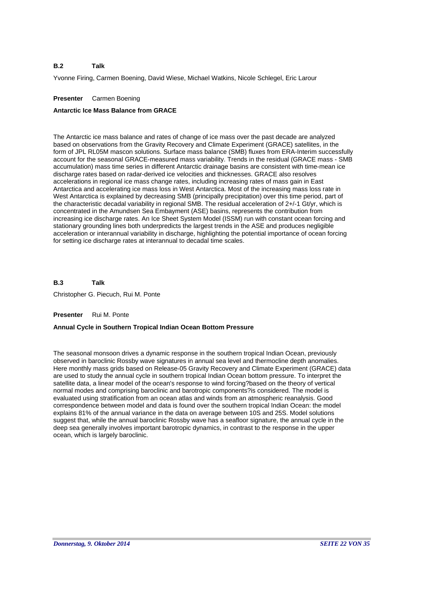### **B.2 Talk**

Yvonne Firing, Carmen Boening, David Wiese, Michael Watkins, Nicole Schlegel, Eric Larour

# **Presenter** Carmen Boening

# **Antarctic Ice Mass Balance from GRACE**

The Antarctic ice mass balance and rates of change of ice mass over the past decade are analyzed based on observations from the Gravity Recovery and Climate Experiment (GRACE) satellites, in the form of JPL RL05M mascon solutions. Surface mass balance (SMB) fluxes from ERA-Interim successfully account for the seasonal GRACE-measured mass variability. Trends in the residual (GRACE mass - SMB accumulation) mass time series in different Antarctic drainage basins are consistent with time-mean ice discharge rates based on radar-derived ice velocities and thicknesses. GRACE also resolves accelerations in regional ice mass change rates, including increasing rates of mass gain in East Antarctica and accelerating ice mass loss in West Antarctica. Most of the increasing mass loss rate in West Antarctica is explained by decreasing SMB (principally precipitation) over this time period, part of the characteristic decadal variability in regional SMB. The residual acceleration of 2+/-1 Gt/yr, which is concentrated in the Amundsen Sea Embayment (ASE) basins, represents the contribution from increasing ice discharge rates. An Ice Sheet System Model (ISSM) run with constant ocean forcing and stationary grounding lines both underpredicts the largest trends in the ASE and produces negligible acceleration or interannual variability in discharge, highlighting the potential importance of ocean forcing for setting ice discharge rates at interannual to decadal time scales.

**B.3** Christopher G. Piecuch, Rui M. Ponte **Talk**

# **Presenter** Rui M. Ponte

# **Annual Cycle in Southern Tropical Indian Ocean Bottom Pressure**

The seasonal monsoon drives a dynamic response in the southern tropical Indian Ocean, previously observed in baroclinic Rossby wave signatures in annual sea level and thermocline depth anomalies. Here monthly mass grids based on Release-05 Gravity Recovery and Climate Experiment (GRACE) data are used to study the annual cycle in southern tropical Indian Ocean bottom pressure. To interpret the satellite data, a linear model of the ocean's response to wind forcing?based on the theory of vertical normal modes and comprising baroclinic and barotropic components?is considered. The model is evaluated using stratification from an ocean atlas and winds from an atmospheric reanalysis. Good correspondence between model and data is found over the southern tropical Indian Ocean: the model explains 81% of the annual variance in the data on average between 10S and 25S. Model solutions suggest that, while the annual baroclinic Rossby wave has a seafloor signature, the annual cycle in the deep sea generally involves important barotropic dynamics, in contrast to the response in the upper ocean, which is largely baroclinic.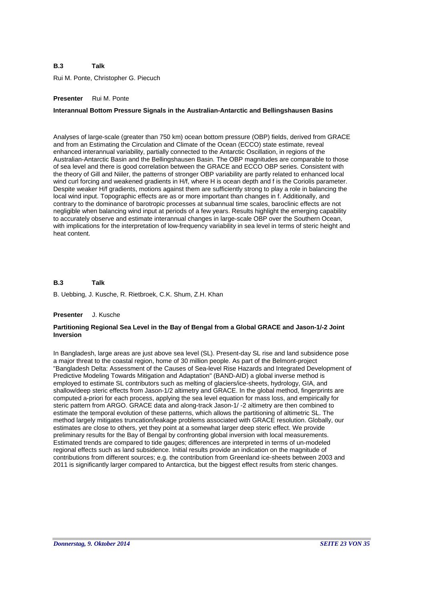Rui M. Ponte, Christopher G. Piecuch

# **Presenter** Rui M. Ponte

# **Interannual Bottom Pressure Signals in the Australian-Antarctic and Bellingshausen Basins**

Analyses of large-scale (greater than 750 km) ocean bottom pressure (OBP) fields, derived from GRACE and from an Estimating the Circulation and Climate of the Ocean (ECCO) state estimate, reveal enhanced interannual variability, partially connected to the Antarctic Oscillation, in regions of the Australian-Antarctic Basin and the Bellingshausen Basin. The OBP magnitudes are comparable to those of sea level and there is good correlation between the GRACE and ECCO OBP series. Consistent with the theory of Gill and Niiler, the patterns of stronger OBP variability are partly related to enhanced local wind curl forcing and weakened gradients in H/f, where H is ocean depth and f is the Coriolis parameter. Despite weaker H/f gradients, motions against them are sufficiently strong to play a role in balancing the local wind input. Topographic effects are as or more important than changes in f. Additionally, and contrary to the dominance of barotropic processes at subannual time scales, baroclinic effects are not negligible when balancing wind input at periods of a few years. Results highlight the emerging capability to accurately observe and estimate interannual changes in large-scale OBP over the Southern Ocean, with implications for the interpretation of low-frequency variability in sea level in terms of steric height and heat content.

### **B.3 Talk**

B. Uebbing, J. Kusche, R. Rietbroek, C.K. Shum, Z.H. Khan

### **Presenter** J. Kusche

# **Partitioning Regional Sea Level in the Bay of Bengal from a Global GRACE and Jason-1/-2 Joint Inversion**

In Bangladesh, large areas are just above sea level (SL). Present-day SL rise and land subsidence pose a major threat to the coastal region, home of 30 million people. As part of the Belmont-project "Bangladesh Delta: Assessment of the Causes of Sea-level Rise Hazards and Integrated Development of Predictive Modeling Towards Mitigation and Adaptation" (BAND-AID) a global inverse method is employed to estimate SL contributors such as melting of glaciers/ice-sheets, hydrology, GIA, and shallow/deep steric effects from Jason-1/2 altimetry and GRACE. In the global method, fingerprints are computed a-priori for each process, applying the sea level equation for mass loss, and empirically for steric pattern from ARGO. GRACE data and along-track Jason-1/ -2 altimetry are then combined to estimate the temporal evolution of these patterns, which allows the partitioning of altimetric SL. The method largely mitigates truncation/leakage problems associated with GRACE resolution. Globally, our estimates are close to others, yet they point at a somewhat larger deep steric effect. We provide preliminary results for the Bay of Bengal by confronting global inversion with local measurements. Estimated trends are compared to tide gauges; differences are interpreted in terms of un-modeled regional effects such as land subsidence. Initial results provide an indication on the magnitude of contributions from different sources; e.g. the contribution from Greenland ice-sheets between 2003 and 2011 is significantly larger compared to Antarctica, but the biggest effect results from steric changes.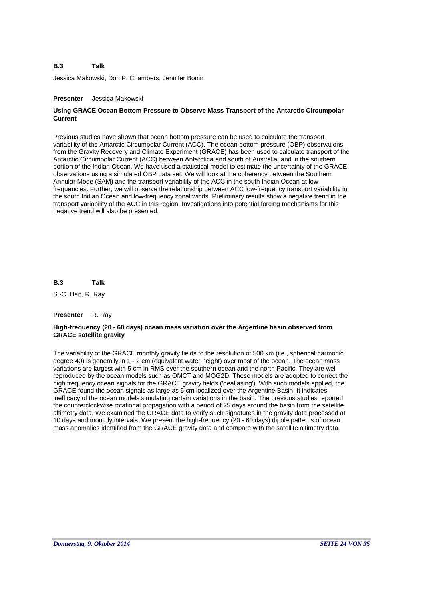Jessica Makowski, Don P. Chambers, Jennifer Bonin

# **Presenter** Jessica Makowski

# **Using GRACE Ocean Bottom Pressure to Observe Mass Transport of the Antarctic Circumpolar Current**

Previous studies have shown that ocean bottom pressure can be used to calculate the transport variability of the Antarctic Circumpolar Current (ACC). The ocean bottom pressure (OBP) observations from the Gravity Recovery and Climate Experiment (GRACE) has been used to calculate transport of the Antarctic Circumpolar Current (ACC) between Antarctica and south of Australia, and in the southern portion of the Indian Ocean. We have used a statistical model to estimate the uncertainty of the GRACE observations using a simulated OBP data set. We will look at the coherency between the Southern Annular Mode (SAM) and the transport variability of the ACC in the south Indian Ocean at lowfrequencies. Further, we will observe the relationship between ACC low-frequency transport variability in the south Indian Ocean and low-frequency zonal winds. Preliminary results show a negative trend in the transport variability of the ACC in this region. Investigations into potential forcing mechanisms for this negative trend will also be presented.

**B.3 Talk**

S.-C. Han, R. Ray

# **Presenter** R. Ray

# **High-frequency (20 - 60 days) ocean mass variation over the Argentine basin observed from GRACE satellite gravity**

The variability of the GRACE monthly gravity fields to the resolution of 500 km (i.e., spherical harmonic degree 40) is generally in 1 - 2 cm (equivalent water height) over most of the ocean. The ocean mass variations are largest with 5 cm in RMS over the southern ocean and the north Pacific. They are well reproduced by the ocean models such as OMCT and MOG2D. These models are adopted to correct the high frequency ocean signals for the GRACE gravity fields ('dealiasing'). With such models applied, the GRACE found the ocean signals as large as 5 cm localized over the Argentine Basin. It indicates inefficacy of the ocean models simulating certain variations in the basin. The previous studies reported the counterclockwise rotational propagation with a period of 25 days around the basin from the satellite altimetry data. We examined the GRACE data to verify such signatures in the gravity data processed at 10 days and monthly intervals. We present the high-frequency (20 - 60 days) dipole patterns of ocean mass anomalies identified from the GRACE gravity data and compare with the satellite altimetry data.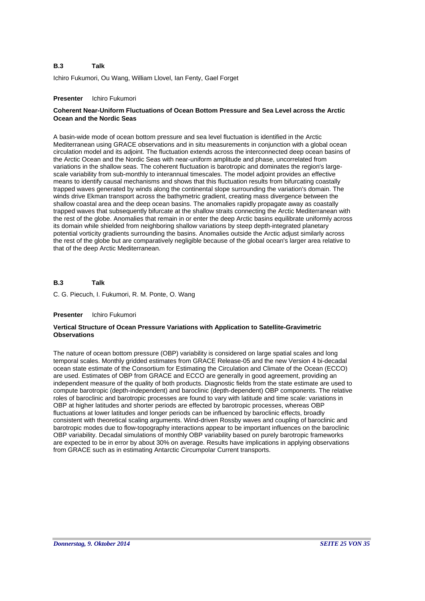Ichiro Fukumori, Ou Wang, William Llovel, Ian Fenty, Gael Forget

# **Presenter** Ichiro Fukumori

# **Coherent Near-Uniform Fluctuations of Ocean Bottom Pressure and Sea Level across the Arctic Ocean and the Nordic Seas**

A basin-wide mode of ocean bottom pressure and sea level fluctuation is identified in the Arctic Mediterranean using GRACE observations and in situ measurements in conjunction with a global ocean circulation model and its adjoint. The fluctuation extends across the interconnected deep ocean basins of the Arctic Ocean and the Nordic Seas with near-uniform amplitude and phase, uncorrelated from variations in the shallow seas. The coherent fluctuation is barotropic and dominates the region's largescale variability from sub-monthly to interannual timescales. The model adjoint provides an effective means to identify causal mechanisms and shows that this fluctuation results from bifurcating coastally trapped waves generated by winds along the continental slope surrounding the variation's domain. The winds drive Ekman transport across the bathymetric gradient, creating mass divergence between the shallow coastal area and the deep ocean basins. The anomalies rapidly propagate away as coastally trapped waves that subsequently bifurcate at the shallow straits connecting the Arctic Mediterranean with the rest of the globe. Anomalies that remain in or enter the deep Arctic basins equilibrate uniformly across its domain while shielded from neighboring shallow variations by steep depth-integrated planetary potential vorticity gradients surrounding the basins. Anomalies outside the Arctic adjust similarly across the rest of the globe but are comparatively negligible because of the global ocean's larger area relative to that of the deep Arctic Mediterranean.

### **B.3 Talk**

C. G. Piecuch, I. Fukumori, R. M. Ponte, O. Wang

# **Presenter** Ichiro Fukumori

# **Vertical Structure of Ocean Pressure Variations with Application to Satellite-Gravimetric Observations**

The nature of ocean bottom pressure (OBP) variability is considered on large spatial scales and long temporal scales. Monthly gridded estimates from GRACE Release-05 and the new Version 4 bi-decadal ocean state estimate of the Consortium for Estimating the Circulation and Climate of the Ocean (ECCO) are used. Estimates of OBP from GRACE and ECCO are generally in good agreement, providing an independent measure of the quality of both products. Diagnostic fields from the state estimate are used to compute barotropic (depth-independent) and baroclinic (depth-dependent) OBP components. The relative roles of baroclinic and barotropic processes are found to vary with latitude and time scale: variations in OBP at higher latitudes and shorter periods are effected by barotropic processes, whereas OBP fluctuations at lower latitudes and longer periods can be influenced by baroclinic effects, broadly consistent with theoretical scaling arguments. Wind-driven Rossby waves and coupling of baroclinic and barotropic modes due to flow-topography interactions appear to be important influences on the baroclinic OBP variability. Decadal simulations of monthly OBP variability based on purely barotropic frameworks are expected to be in error by about 30% on average. Results have implications in applying observations from GRACE such as in estimating Antarctic Circumpolar Current transports.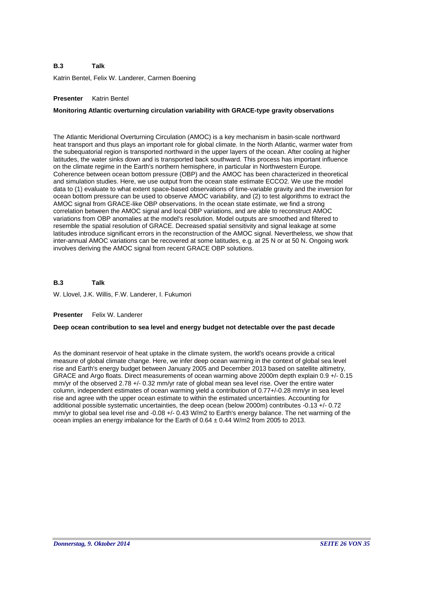Katrin Bentel, Felix W. Landerer, Carmen Boening

# **Presenter** Katrin Bentel

# **Monitoring Atlantic overturning circulation variability with GRACE-type gravity observations**

The Atlantic Meridional Overturning Circulation (AMOC) is a key mechanism in basin-scale northward heat transport and thus plays an important role for global climate. In the North Atlantic, warmer water from the subequatorial region is transported northward in the upper layers of the ocean. After cooling at higher latitudes, the water sinks down and is transported back southward. This process has important influence on the climate regime in the Earth's northern hemisphere, in particular in Northwestern Europe. Coherence between ocean bottom pressure (OBP) and the AMOC has been characterized in theoretical and simulation studies. Here, we use output from the ocean state estimate ECCO2. We use the model data to (1) evaluate to what extent space-based observations of time-variable gravity and the inversion for ocean bottom pressure can be used to observe AMOC variability, and (2) to test algorithms to extract the AMOC signal from GRACE-like OBP observations. In the ocean state estimate, we find a strong correlation between the AMOC signal and local OBP variations, and are able to reconstruct AMOC variations from OBP anomalies at the model's resolution. Model outputs are smoothed and filtered to resemble the spatial resolution of GRACE. Decreased spatial sensitivity and signal leakage at some latitudes introduce significant errors in the reconstruction of the AMOC signal. Nevertheless, we show that inter-annual AMOC variations can be recovered at some latitudes, e.g. at 25 N or at 50 N. Ongoing work involves deriving the AMOC signal from recent GRACE OBP solutions.

**B.3 Talk**

W. Llovel, J.K. Willis, F.W. Landerer, I. Fukumori

# **Presenter** Felix W. Landerer

# **Deep ocean contribution to sea level and energy budget not detectable over the past decade**

As the dominant reservoir of heat uptake in the climate system, the world's oceans provide a critical measure of global climate change. Here, we infer deep ocean warming in the context of global sea level rise and Earth's energy budget between January 2005 and December 2013 based on satellite altimetry, GRACE and Argo floats. Direct measurements of ocean warming above 2000m depth explain 0.9 +/- 0.15 mm/yr of the observed 2.78 +/- 0.32 mm/yr rate of global mean sea level rise. Over the entire water column, independent estimates of ocean warming yield a contribution of 0.77+/-0.28 mm/yr in sea level rise and agree with the upper ocean estimate to within the estimated uncertainties. Accounting for additional possible systematic uncertainties, the deep ocean (below 2000m) contributes -0.13 +/- 0.72 mm/yr to global sea level rise and -0.08 +/- 0.43 W/m2 to Earth's energy balance. The net warming of the ocean implies an energy imbalance for the Earth of  $0.64 \pm 0.44$  W/m2 from 2005 to 2013.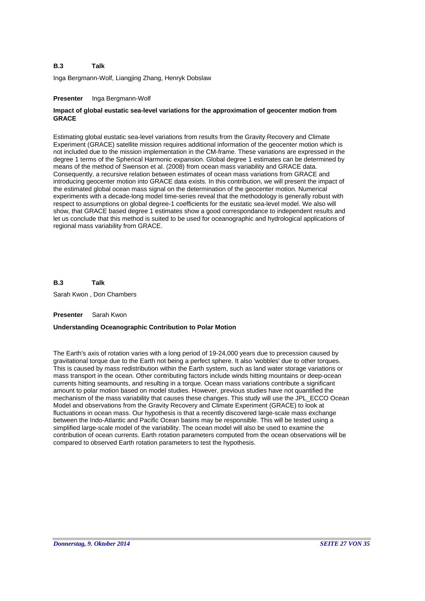Inga Bergmann-Wolf, Liangjing Zhang, Henryk Dobslaw

# **Presenter** Inga Bergmann-Wolf

# **Impact of global eustatic sea-level variations for the approximation of geocenter motion from GRACE**

Estimating global eustatic sea-level variations from results from the Gravity Recovery and Climate Experiment (GRACE) satellite mission requires additional information of the geocenter motion which is not included due to the mission implementation in the CM-frame. These variations are expressed in the degree 1 terms of the Spherical Harmonic expansion. Global degree 1 estimates can be determined by means of the method of Swenson et al. (2008) from ocean mass variability and GRACE data. Consequently, a recursive relation between estimates of ocean mass variations from GRACE and introducing geocenter motion into GRACE data exists. In this contribution, we will present the impact of the estimated global ocean mass signal on the determination of the geocenter motion. Numerical experiments with a decade-long model time-series reveal that the methodology is generally robust with respect to assumptions on global degree-1 coefficients for the eustatic sea-level model. We also will show, that GRACE based degree 1 estimates show a good correspondance to independent results and let us conclude that this method is suited to be used for oceanographic and hydrological applications of regional mass variability from GRACE.

**B.3 Talk**

Sarah Kwon , Don Chambers

# **Presenter** Sarah Kwon

# **Understanding Oceanographic Contribution to Polar Motion**

The Earth's axis of rotation varies with a long period of 19-24,000 years due to precession caused by gravitational torque due to the Earth not being a perfect sphere. It also 'wobbles' due to other torques. This is caused by mass redistribution within the Earth system, such as land water storage variations or mass transport in the ocean. Other contributing factors include winds hitting mountains or deep-ocean currents hitting seamounts, and resulting in a torque. Ocean mass variations contribute a significant amount to polar motion based on model studies. However, previous studies have not quantified the mechanism of the mass variability that causes these changes. This study will use the JPL\_ECCO Ocean Model and observations from the Gravity Recovery and Climate Experiment (GRACE) to look at fluctuations in ocean mass. Our hypothesis is that a recently discovered large-scale mass exchange between the Indo-Atlantic and Pacific Ocean basins may be responsible. This will be tested using a simplified large-scale model of the variability. The ocean model will also be used to examine the contribution of ocean currents. Earth rotation parameters computed from the ocean observations will be compared to observed Earth rotation parameters to test the hypothesis.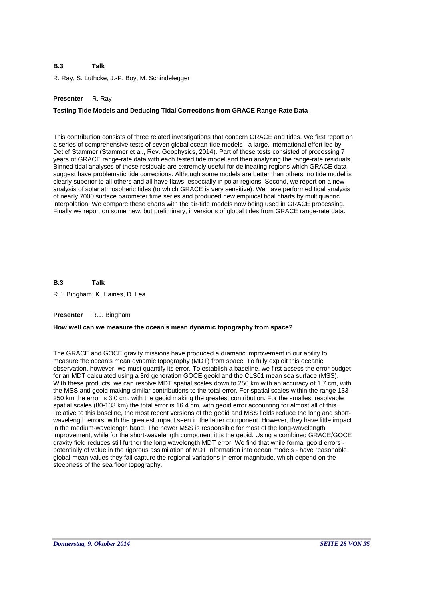R. Ray, S. Luthcke, J.-P. Boy, M. Schindelegger

# **Presenter** R. Ray

# **Testing Tide Models and Deducing Tidal Corrections from GRACE Range-Rate Data**

This contribution consists of three related investigations that concern GRACE and tides. We first report on a series of comprehensive tests of seven global ocean-tide models - a large, international effort led by Detlef Stammer (Stammer et al., Rev. Geophysics, 2014). Part of these tests consisted of processing 7 years of GRACE range-rate data with each tested tide model and then analyzing the range-rate residuals. Binned tidal analyses of these residuals are extremely useful for delineating regions which GRACE data suggest have problematic tide corrections. Although some models are better than others, no tide model is clearly superior to all others and all have flaws, especially in polar regions. Second, we report on a new analysis of solar atmospheric tides (to which GRACE is very sensitive). We have performed tidal analysis of nearly 7000 surface barometer time series and produced new empirical tidal charts by multiquadric interpolation. We compare these charts with the air-tide models now being used in GRACE processing. Finally we report on some new, but preliminary, inversions of global tides from GRACE range-rate data.

**B.3 Talk**

R.J. Bingham, K. Haines, D. Lea

# **Presenter** R.J. Bingham

# **How well can we measure the ocean's mean dynamic topography from space?**

The GRACE and GOCE gravity missions have produced a dramatic improvement in our ability to measure the ocean's mean dynamic topography (MDT) from space. To fully exploit this oceanic observation, however, we must quantify its error. To establish a baseline, we first assess the error budget for an MDT calculated using a 3rd generation GOCE geoid and the CLS01 mean sea surface (MSS). With these products, we can resolve MDT spatial scales down to 250 km with an accuracy of 1.7 cm, with the MSS and geoid making similar contributions to the total error. For spatial scales within the range 133- 250 km the error is 3.0 cm, with the geoid making the greatest contribution. For the smallest resolvable spatial scales (80-133 km) the total error is 16.4 cm, with geoid error accounting for almost all of this. Relative to this baseline, the most recent versions of the geoid and MSS fields reduce the long and shortwavelength errors, with the greatest impact seen in the latter component. However, they have little impact in the medium-wavelength band. The newer MSS is responsible for most of the long-wavelength improvement, while for the short-wavelength component it is the geoid. Using a combined GRACE/GOCE gravity field reduces still further the long wavelength MDT error. We find that while formal geoid errors potentially of value in the rigorous assimilation of MDT information into ocean models - have reasonable global mean values they fail capture the regional variations in error magnitude, which depend on the steepness of the sea floor topography.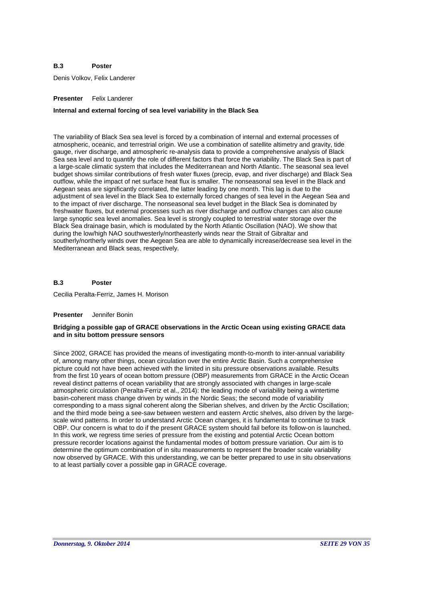### **B.3 Poster**

Denis Volkov, Felix Landerer

# **Presenter** Felix Landerer

# **Internal and external forcing of sea level variability in the Black Sea**

The variability of Black Sea sea level is forced by a combination of internal and external processes of atmospheric, oceanic, and terrestrial origin. We use a combination of satellite altimetry and gravity, tide gauge, river discharge, and atmospheric re-analysis data to provide a comprehensive analysis of Black Sea sea level and to quantify the role of different factors that force the variability. The Black Sea is part of a large-scale climatic system that includes the Mediterranean and North Atlantic. The seasonal sea level budget shows similar contributions of fresh water fluxes (precip, evap, and river discharge) and Black Sea outflow, while the impact of net surface heat flux is smaller. The nonseasonal sea level in the Black and Aegean seas are significantly correlated, the latter leading by one month. This lag is due to the adjustment of sea level in the Black Sea to externally forced changes of sea level in the Aegean Sea and to the impact of river discharge. The nonseasonal sea level budget in the Black Sea is dominated by freshwater fluxes, but external processes such as river discharge and outflow changes can also cause large synoptic sea level anomalies. Sea level is strongly coupled to terrestrial water storage over the Black Sea drainage basin, which is modulated by the North Atlantic Oscillation (NAO). We show that during the low/high NAO southwesterly/northeasterly winds near the Strait of Gibraltar and southerly/northerly winds over the Aegean Sea are able to dynamically increase/decrease sea level in the Mediterranean and Black seas, respectively.

### **B.3 Poster**

Cecilia Peralta-Ferriz, James H. Morison

# **Presenter** Jennifer Bonin

# **Bridging a possible gap of GRACE observations in the Arctic Ocean using existing GRACE data and in situ bottom pressure sensors**

Since 2002, GRACE has provided the means of investigating month-to-month to inter-annual variability of, among many other things, ocean circulation over the entire Arctic Basin. Such a comprehensive picture could not have been achieved with the limited in situ pressure observations available. Results from the first 10 years of ocean bottom pressure (OBP) measurements from GRACE in the Arctic Ocean reveal distinct patterns of ocean variability that are strongly associated with changes in large-scale atmospheric circulation (Peralta-Ferriz et al., 2014): the leading mode of variability being a wintertime basin-coherent mass change driven by winds in the Nordic Seas; the second mode of variability corresponding to a mass signal coherent along the Siberian shelves, and driven by the Arctic Oscillation; and the third mode being a see-saw between western and eastern Arctic shelves, also driven by the largescale wind patterns. In order to understand Arctic Ocean changes, it is fundamental to continue to track OBP. Our concern is what to do if the present GRACE system should fail before its follow-on is launched. In this work, we regress time series of pressure from the existing and potential Arctic Ocean bottom pressure recorder locations against the fundamental modes of bottom pressure variation. Our aim is to determine the optimum combination of in situ measurements to represent the broader scale variability now observed by GRACE. With this understanding, we can be better prepared to use in situ observations to at least partially cover a possible gap in GRACE coverage.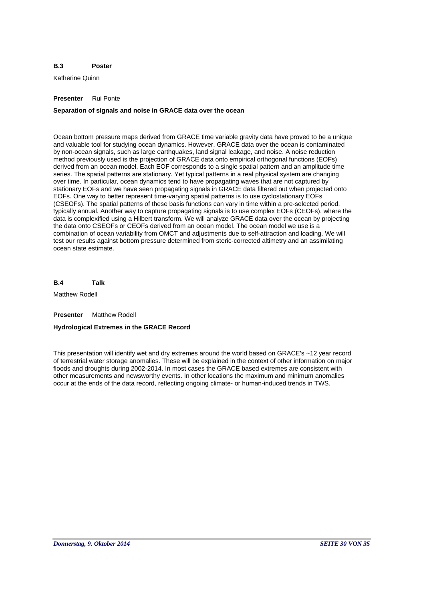### **B.3 Poster**

Katherine Quinn

# **Presenter** Rui Ponte

# **Separation of signals and noise in GRACE data over the ocean**

Ocean bottom pressure maps derived from GRACE time variable gravity data have proved to be a unique and valuable tool for studying ocean dynamics. However, GRACE data over the ocean is contaminated by non-ocean signals, such as large earthquakes, land signal leakage, and noise. A noise reduction method previously used is the projection of GRACE data onto empirical orthogonal functions (EOFs) derived from an ocean model. Each EOF corresponds to a single spatial pattern and an amplitude time series. The spatial patterns are stationary. Yet typical patterns in a real physical system are changing over time. In particular, ocean dynamics tend to have propagating waves that are not captured by stationary EOFs and we have seen propagating signals in GRACE data filtered out when projected onto EOFs. One way to better represent time-varying spatial patterns is to use cyclostationary EOFs (CSEOFs). The spatial patterns of these basis functions can vary in time within a pre-selected period, typically annual. Another way to capture propagating signals is to use complex EOFs (CEOFs), where the data is complexified using a Hilbert transform. We will analyze GRACE data over the ocean by projecting the data onto CSEOFs or CEOFs derived from an ocean model. The ocean model we use is a combination of ocean variability from OMCT and adjustments due to self-attraction and loading. We will test our results against bottom pressure determined from steric-corrected altimetry and an assimilating ocean state estimate.

**B.4 Talk**

Matthew Rodell

**Presenter** Matthew Rodell

# **Hydrological Extremes in the GRACE Record**

This presentation will identify wet and dry extremes around the world based on GRACE's ~12 year record of terrestrial water storage anomalies. These will be explained in the context of other information on major floods and droughts during 2002-2014. In most cases the GRACE based extremes are consistent with other measurements and newsworthy events. In other locations the maximum and minimum anomalies occur at the ends of the data record, reflecting ongoing climate- or human-induced trends in TWS.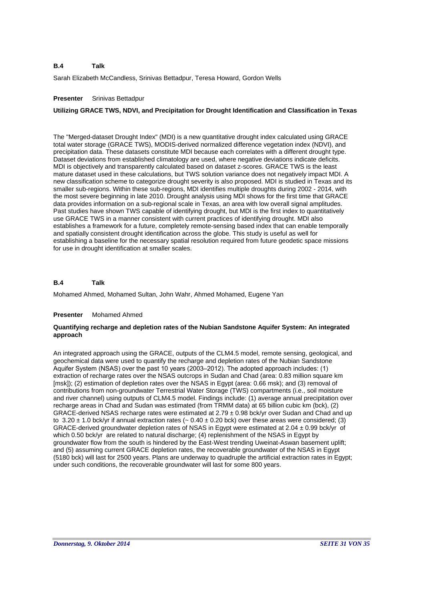Sarah Elizabeth McCandless, Srinivas Bettadpur, Teresa Howard, Gordon Wells

# **Presenter** Srinivas Bettadpur

# **Utilizing GRACE TWS, NDVI, and Precipitation for Drought Identification and Classification in Texas**

The "Merged-dataset Drought Index" (MDI) is a new quantitative drought index calculated using GRACE total water storage (GRACE TWS), MODIS-derived normalized difference vegetation index (NDVI), and precipitation data. These datasets constitute MDI because each correlates with a different drought type. Dataset deviations from established climatology are used, where negative deviations indicate deficits. MDI is objectively and transparently calculated based on dataset z-scores. GRACE TWS is the least mature dataset used in these calculations, but TWS solution variance does not negatively impact MDI. A new classification scheme to categorize drought severity is also proposed. MDI is studied in Texas and its smaller sub-regions. Within these sub-regions, MDI identifies multiple droughts during 2002 - 2014, with the most severe beginning in late 2010. Drought analysis using MDI shows for the first time that GRACE data provides information on a sub-regional scale in Texas, an area with low overall signal amplitudes. Past studies have shown TWS capable of identifying drought, but MDI is the first index to quantitatively use GRACE TWS in a manner consistent with current practices of identifying drought. MDI also establishes a framework for a future, completely remote-sensing based index that can enable temporally and spatially consistent drought identification across the globe. This study is useful as well for establishing a baseline for the necessary spatial resolution required from future geodetic space missions for use in drought identification at smaller scales.

### **B.4 Talk**

Mohamed Ahmed, Mohamed Sultan, John Wahr, Ahmed Mohamed, Eugene Yan

# **Presenter** Mohamed Ahmed

# **Quantifying recharge and depletion rates of the Nubian Sandstone Aquifer System: An integrated approach**

An integrated approach using the GRACE, outputs of the CLM4.5 model, remote sensing, geological, and geochemical data were used to quantify the recharge and depletion rates of the Nubian Sandstone Aquifer System (NSAS) over the past 10 years (2003–2012). The adopted approach includes: (1) extraction of recharge rates over the NSAS outcrops in Sudan and Chad (area: 0.83 million square km [msk]); (2) estimation of depletion rates over the NSAS in Egypt (area: 0.66 msk); and (3) removal of contributions from non-groundwater Terrestrial Water Storage (TWS) compartments (i.e., soil moisture and river channel) using outputs of CLM4.5 model. Findings include: (1) average annual precipitation over recharge areas in Chad and Sudan was estimated (from TRMM data) at 65 billion cubic km (bck), (2) GRACE-derived NSAS recharge rates were estimated at 2.79 ± 0.98 bck/yr over Sudan and Chad and up to  $3.20 \pm 1.0$  bck/yr if annual extraction rates ( $\sim 0.40 \pm 0.20$  bck) over these areas were considered; (3) GRACE-derived groundwater depletion rates of NSAS in Egypt were estimated at 2.04 ± 0.99 bck/yr of which 0.50 bck/yr are related to natural discharge; (4) replenishment of the NSAS in Egypt by groundwater flow from the south is hindered by the East-West trending Uweinat-Aswan basement uplift; and (5) assuming current GRACE depletion rates, the recoverable groundwater of the NSAS in Egypt (5180 bck) will last for 2500 years. Plans are underway to quadruple the artificial extraction rates in Egypt; under such conditions, the recoverable groundwater will last for some 800 years.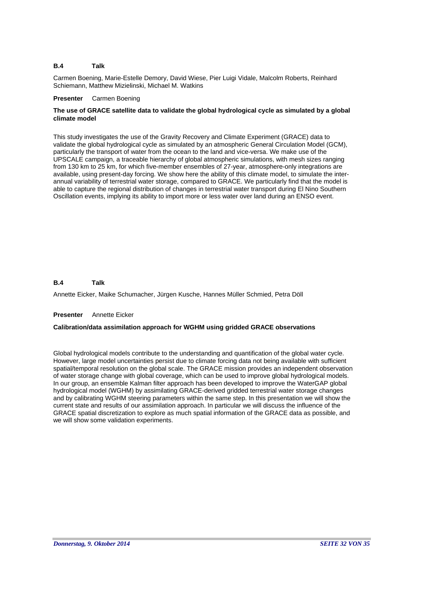Carmen Boening, Marie-Estelle Demory, David Wiese, Pier Luigi Vidale, Malcolm Roberts, Reinhard Schiemann, Matthew Mizielinski, Michael M. Watkins

# **Presenter** Carmen Boening

# **The use of GRACE satellite data to validate the global hydrological cycle as simulated by a global climate model**

This study investigates the use of the Gravity Recovery and Climate Experiment (GRACE) data to validate the global hydrological cycle as simulated by an atmospheric General Circulation Model (GCM), particularly the transport of water from the ocean to the land and vice-versa. We make use of the UPSCALE campaign, a traceable hierarchy of global atmospheric simulations, with mesh sizes ranging from 130 km to 25 km, for which five-member ensembles of 27-year, atmosphere-only integrations are available, using present-day forcing. We show here the ability of this climate model, to simulate the interannual variability of terrestrial water storage, compared to GRACE. We particularly find that the model is able to capture the regional distribution of changes in terrestrial water transport during El Nino Southern Oscillation events, implying its ability to import more or less water over land during an ENSO event.

### **B.4 Talk**

Annette Eicker, Maike Schumacher, Jürgen Kusche, Hannes Müller Schmied, Petra Döll

# **Presenter** Annette Eicker

# **Calibration/data assimilation approach for WGHM using gridded GRACE observations**

Global hydrological models contribute to the understanding and quantification of the global water cycle. However, large model uncertainties persist due to climate forcing data not being available with sufficient spatial/temporal resolution on the global scale. The GRACE mission provides an independent observation of water storage change with global coverage, which can be used to improve global hydrological models. In our group, an ensemble Kalman filter approach has been developed to improve the WaterGAP global hydrological model (WGHM) by assimilating GRACE-derived gridded terrestrial water storage changes and by calibrating WGHM steering parameters within the same step. In this presentation we will show the current state and results of our assimilation approach. In particular we will discuss the influence of the GRACE spatial discretization to explore as much spatial information of the GRACE data as possible, and we will show some validation experiments.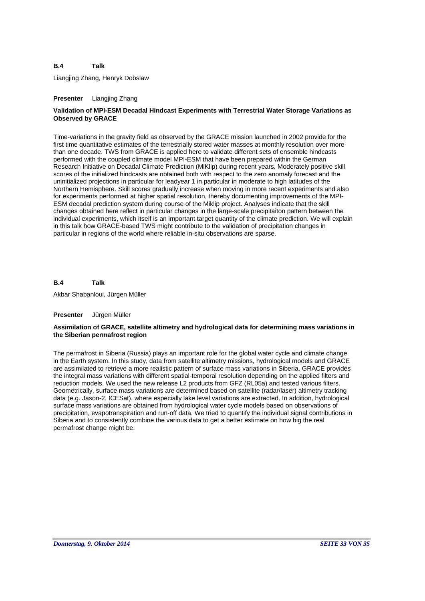Liangjing Zhang, Henryk Dobslaw

# **Presenter** Liangjing Zhang

# **Validation of MPI-ESM Decadal Hindcast Experiments with Terrestrial Water Storage Variations as Observed by GRACE**

Time-variations in the gravity field as observed by the GRACE mission launched in 2002 provide for the first time quantitative estimates of the terrestrially stored water masses at monthly resolution over more than one decade. TWS from GRACE is applied here to validate different sets of ensemble hindcasts performed with the coupled climate model MPI-ESM that have been prepared within the German Research Initiative on Decadal Climate Prediction (MiKlip) during recent years. Moderately positive skill scores of the initialized hindcasts are obtained both with respect to the zero anomaly forecast and the uninitialized projections in particular for leadyear 1 in particular in moderate to high latitudes of the Northern Hemisphere. Skill scores gradually increase when moving in more recent experiments and also for experiments performed at higher spatial resolution, thereby documenting improvements of the MPI-ESM decadal prediction system during course of the Miklip project. Analyses indicate that the skill changes obtained here reflect in particular changes in the large-scale precipitaiton pattern between the individual experiments, which itself is an important target quantity of the climate prediction. We will explain in this talk how GRACE-based TWS might contribute to the validation of precipitation changes in particular in regions of the world where reliable in-situ observations are sparse.

#### **B.4 Talk**

Akbar Shabanloui, Jürgen Müller

# **Presenter** Jürgen Müller

# **Assimilation of GRACE, satellite altimetry and hydrological data for determining mass variations in the Siberian permafrost region**

The permafrost in Siberia (Russia) plays an important role for the global water cycle and climate change in the Earth system. In this study, data from satellite altimetry missions, hydrological models and GRACE are assimilated to retrieve a more realistic pattern of surface mass variations in Siberia. GRACE provides the integral mass variations with different spatial-temporal resolution depending on the applied filters and reduction models. We used the new release L2 products from GFZ (RL05a) and tested various filters. Geometrically, surface mass variations are determined based on satellite (radar/laser) altimetry tracking data (e.g. Jason-2, ICESat), where especially lake level variations are extracted. In addition, hydrological surface mass variations are obtained from hydrological water cycle models based on observations of precipitation, evapotranspiration and run-off data. We tried to quantify the individual signal contributions in Siberia and to consistently combine the various data to get a better estimate on how big the real permafrost change might be.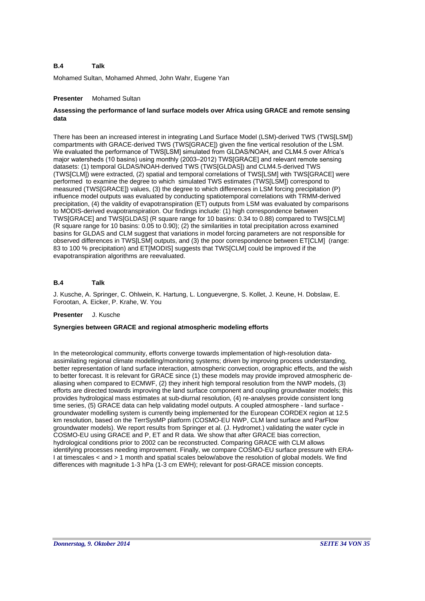Mohamed Sultan, Mohamed Ahmed, John Wahr, Eugene Yan

# **Presenter** Mohamed Sultan

# **Assessing the performance of land surface models over Africa using GRACE and remote sensing data**

There has been an increased interest in integrating Land Surface Model (LSM)-derived TWS (TWS[LSM]) compartments with GRACE-derived TWS (TWS[GRACE]) given the fine vertical resolution of the LSM. We evaluated the performance of TWS[LSM] simulated from GLDAS/NOAH, and CLM4.5 over Africa's major watersheds (10 basins) using monthly (2003–2012) TWS[GRACE] and relevant remote sensing datasets: (1) temporal GLDAS/NOAH-derived TWS (TWS[GLDAS]) and CLM4.5-derived TWS (TWS[CLM]) were extracted, (2) spatial and temporal correlations of TWS[LSM] with TWS[GRACE] were performed to examine the degree to which simulated TWS estimates (TWS[LSM]) correspond to measured (TWS[GRACE]) values, (3) the degree to which differences in LSM forcing precipitation (P) influence model outputs was evaluated by conducting spatiotemporal correlations with TRMM-derived precipitation, (4) the validity of evapotranspiration (ET) outputs from LSM was evaluated by comparisons to MODIS-derived evapotranspiration. Our findings include: (1) high correspondence between TWS[GRACE] and TWS[GLDAS] (R square range for 10 basins: 0.34 to 0.88) compared to TWS[CLM] (R square range for 10 basins: 0.05 to 0.90); (2) the similarities in total precipitation across examined basins for GLDAS and CLM suggest that variations in model forcing parameters are not responsible for observed differences in TWS[LSM] outputs, and (3) the poor correspondence between ET[CLM] (range: 83 to 100 % precipitation) and ET[MODIS] suggests that TWS[CLM] could be improved if the evapotranspiration algorithms are reevaluated.

### **B.4 Talk**

J. Kusche, A. Springer, C. Ohlwein, K. Hartung, L. Longuevergne, S. Kollet, J. Keune, H. Dobslaw, E. Forootan, A. Eicker, P. Krahe, W. You

### **Presenter** J. Kusche

# **Synergies between GRACE and regional atmospheric modeling efforts**

In the meteorological community, efforts converge towards implementation of high-resolution dataassimilating regional climate modelling/monitoring systems; driven by improving process understanding, better representation of land surface interaction, atmospheric convection, orographic effects, and the wish to better forecast. It is relevant for GRACE since (1) these models may provide improved atmospheric dealiasing when compared to ECMWF, (2) they inherit high temporal resolution from the NWP models, (3) efforts are directed towards improving the land surface component and coupling groundwater models; this provides hydrological mass estimates at sub-diurnal resolution, (4) re-analyses provide consistent long time series, (5) GRACE data can help validating model outputs. A coupled atmosphere - land surface groundwater modelling system is currently being implemented for the European CORDEX region at 12.5 km resolution, based on the TerrSysMP platform (COSMO-EU NWP, CLM land surface and ParFlow groundwater models). We report results from Springer et al. (J. Hydromet.) validating the water cycle in COSMO-EU using GRACE and P, ET and R data. We show that after GRACE bias correction, hydrological conditions prior to 2002 can be reconstructed. Comparing GRACE with CLM allows identifying processes needing improvement. Finally, we compare COSMO-EU surface pressure with ERA-I at timescales < and > 1 month and spatial scales below/above the resolution of global models. We find differences with magnitude 1-3 hPa (1-3 cm EWH); relevant for post-GRACE mission concepts.